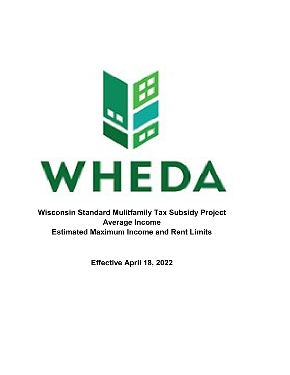

**Wisconsin Standard Mulitfamily Tax Subsidy Project Average Income Estimated Maximum Income and Rent Limits**

**Effective April 18, 2022**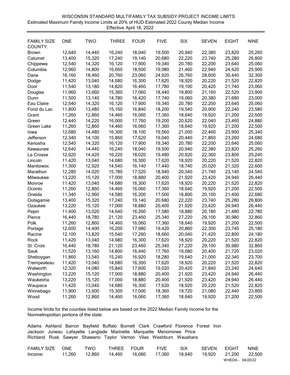|                    | Estimated Maximum Family Income Limits at 20% of HUD Estimated 2022 County Median Income<br>Effective April 18, 2022 |            |              |             |             |        |              |              |             |  |  |  |  |
|--------------------|----------------------------------------------------------------------------------------------------------------------|------------|--------------|-------------|-------------|--------|--------------|--------------|-------------|--|--|--|--|
| <b>FAMILY SIZE</b> | <b>ONE</b>                                                                                                           | <b>TWO</b> | <b>THREE</b> | <b>FOUR</b> | <b>FIVE</b> | SIX    | <b>SEVEN</b> | <b>EIGHT</b> | <b>NINE</b> |  |  |  |  |
| COUNTY:            |                                                                                                                      |            |              |             |             |        |              |              |             |  |  |  |  |
| <b>Brown</b>       | 12,640                                                                                                               | 14,440     | 16,240       | 18,040      | 19,500      | 20,940 | 22,380       | 23,820       | 25,260      |  |  |  |  |
| Calumet            | 13,400                                                                                                               | 15,320     | 17,240       | 19,140      | 20,680      | 22,220 | 23,740       | 25,280       | 26,800      |  |  |  |  |
| Chippewa           | 12,540                                                                                                               | 14,320     | 16,120       | 17,900      | 19,340      | 20,780 | 22,200       | 23,640       | 25,060      |  |  |  |  |
| Columbia           | 12,960                                                                                                               | 14,800     | 16,660       | 18,500      | 19,980      | 21,460 | 22,940       | 24,420       | 25,900      |  |  |  |  |
| Dane               | 16,160                                                                                                               | 18,460     | 20,760       | 23,060      | 24,920      | 26,760 | 28,600       | 30,440       | 32,300      |  |  |  |  |
| Dodge              | 11,420                                                                                                               | 13,040     | 14,680       | 16,300      | 17,620      | 18,920 | 20,220       | 21,520       | 22,820      |  |  |  |  |
| Door               | 11,540                                                                                                               | 13,180     | 14,820       | 16,460      | 17,780      | 19,100 | 20,420       | 21,740       | 23,060      |  |  |  |  |
| Douglas            | 11,960                                                                                                               | 13,660     | 15,360       | 17,060      | 18,440      | 19,800 | 21,160       | 22,520       | 23,900      |  |  |  |  |
| Dunn               | 11,500                                                                                                               | 13,140     | 14,780       | 16,420      | 17,740      | 19,060 | 20,380       | 21,680       | 23,000      |  |  |  |  |
| Eau Claire         | 12,540                                                                                                               | 14,320     | 16,120       | 17,900      | 19,340      | 20,780 | 22,200       | 23,640       | 25,060      |  |  |  |  |
| Fond du Lac        | 11,800                                                                                                               | 13,480     | 15,160       | 16,840      | 18,200      | 19,540 | 20,900       | 22,240       | 23,580      |  |  |  |  |
| Grant              | 11,260                                                                                                               | 12,860     | 14,460       | 16,060      | 17,360      | 18,640 | 19,920       | 21,200       | 22,500      |  |  |  |  |
| Green              | 12,440                                                                                                               | 14,220     | 16,000       | 17,760      | 19,200      | 20,620 | 22,040       | 23,460       | 24,880      |  |  |  |  |
| Green Lake         | 11,260                                                                                                               | 12,860     | 14,460       | 16,060      | 17,360      | 18,640 | 19,920       | 21,200       | 22,500      |  |  |  |  |
| lowa               | 12,680                                                                                                               | 14,480     | 16,300       | 18,100      | 19,560      | 21,000 | 22,460       | 23,900       | 25,340      |  |  |  |  |
| Jefferson          | 12,340                                                                                                               | 14,100     | 15,860       | 17,620      | 19,040      | 20,440 | 21,860       | 23,260       | 24,680      |  |  |  |  |
| Kenosha            | 12,540                                                                                                               | 14,320     | 16,120       | 17,900      | 19,340      | 20,780 | 22,200       | 23,640       | 25,060      |  |  |  |  |
| Kewaunee           | 12,640                                                                                                               | 14,440     | 16,240       | 18,040      | 19,500      | 20,940 | 22,380       | 23,820       | 25,260      |  |  |  |  |
| La Crosse          | 12,620                                                                                                               | 14,420     | 16,220       | 18,020      | 19,480      | 20,920 | 22,360       | 23,800       | 25,240      |  |  |  |  |
| Lincoln            | 11,420                                                                                                               | 13,040     | 14,680       | 16,300      | 17,620      | 18,920 | 20,220       | 21,520       | 22,820      |  |  |  |  |
| Manitowoc          | 11,300                                                                                                               | 12,920     | 14,540       | 16,140      | 17,440      | 18,740 | 20,020       | 21,320       | 22,600      |  |  |  |  |
| Marathon           | 12,280                                                                                                               | 14,020     | 15,780       | 17,520      | 18,940      | 20,340 | 21,740       | 23,140       | 24,540      |  |  |  |  |
| Milwaukee          | 13,220                                                                                                               | 15,120     | 17,000       | 18,880      | 20,400      | 21,920 | 23,420       | 24,940       | 26,440      |  |  |  |  |
| Monroe             | 11,420                                                                                                               | 13,040     | 14,680       | 16,300      | 17,620      | 18,920 | 20,220       | 21,520       | 22,820      |  |  |  |  |
| Oconto             | 11,260                                                                                                               | 12,860     | 14,460       | 16,060      | 17,360      | 18,640 | 19,920       | 21,200       | 22,500      |  |  |  |  |
| Oneida             | 11,340                                                                                                               | 12,960     | 14,580       | 16,200      | 17,500      | 18,800 | 20,100       | 21,400       | 22,680      |  |  |  |  |
| Outagamie          | 13,400                                                                                                               | 15,320     | 17,240       | 19,140      | 20,680      | 22,220 | 23,740       | 25,280       | 26,800      |  |  |  |  |
| Ozaukee            | 13,220                                                                                                               | 15,120     | 17,000       | 18,880      | 20,400      | 21,920 | 23,420       | 24,940       | 26,440      |  |  |  |  |
| Pepin              | 11,400                                                                                                               | 13,020     | 14,640       | 16,260      | 17,580      | 18,880 | 20,180       | 21,480       | 22,780      |  |  |  |  |
| Pierce             | 16,440                                                                                                               | 18,780     | 21,120       | 23,460      | 25,340      | 27,220 | 29,100       | 30,980       | 32,860      |  |  |  |  |
| Polk               | 11,260                                                                                                               | 12,860     | 14,460       | 16,060      | 17,360      | 18,640 | 19,920       | 21,200       | 22,500      |  |  |  |  |
| Portage            | 12,600                                                                                                               | 14,400     | 16,200       | 17,980      | 19,420      | 20,860 | 22,300       | 23,740       | 25,180      |  |  |  |  |
| Racine             | 12,100                                                                                                               | 13,820     | 15,540       | 17,260      | 18,660      | 20,040 | 21,420       | 22,800       | 24,180      |  |  |  |  |
| Rock               | 11,420                                                                                                               | 13,040     | 14,680       | 16,300      | 17,620      | 18,920 | 20,220       | 21,520       | 22,820      |  |  |  |  |
| St. Croix          | 16,440                                                                                                               | 18,780     | 21,120       | 23,460      | 25,340      | 27,220 | 29,100       | 30,980       | 32,860      |  |  |  |  |
| Sauk               | 11,520                                                                                                               | 13,160     | 14,800       | 16,440      | 17,760      | 19,080 | 20,400       | 21,720       | 23,020      |  |  |  |  |
| Sheboygan          | 11,860                                                                                                               | 13,540     | 15,240       | 16,920      | 18,280      | 19,640 | 21,000       | 22,340       | 23,700      |  |  |  |  |
| Trempealeau        | 11,420                                                                                                               | 13,040     | 14,680       | 16,300      | 17,620      | 18,920 | 20,220       | 21,520       | 22,820      |  |  |  |  |
| Walworth           | 12,320                                                                                                               | 14,080     | 15,840       | 17,600      | 19,020      | 20,420 | 21,840       | 23,240       | 24,640      |  |  |  |  |
| Washington         | 13,220                                                                                                               | 15,120     | 17,000       | 18,880      | 20,400      | 21,920 | 23,420       | 24,940       | 26,440      |  |  |  |  |
| Waukesha           | 13,220                                                                                                               | 15,120     | 17,000       | 18,880      | 20,400      | 21,920 | 23,420       | 24,940       | 26,440      |  |  |  |  |
| Waupaca            | 11,420                                                                                                               | 13,040     | 14,680       | 16,300      | 17,620      | 18,920 | 20,220       | 21,520       | 22,820      |  |  |  |  |
| Winnebago          | 11,900                                                                                                               | 13,600     | 15,300       | 17,000      | 18,360      | 19,720 | 21,080       | 22,440       | 23,800      |  |  |  |  |
| Wood               | 11,260                                                                                                               | 12,860     | 14,460       | 16,060      | 17,360      | 18,640 | 19,920       | 21,200       | 22,500      |  |  |  |  |

WISCONSIN STANDARD MULTIFAMILY TAX SUBSIDY PROJECT INCOME LIMITS

Income limits for the counties listed below are based on the 2022 Median Family Income for the Nonmetropolitan portions of the state.

| FAMILY SIZE | <b>ONE</b> | TWO    | THREE FOUR |        | <b>FIVE</b> | <b>SIX</b> | <b>SEVEN</b> | <b>FIGHT</b>     | <b>NINE</b> |
|-------------|------------|--------|------------|--------|-------------|------------|--------------|------------------|-------------|
| Income:     | 11.260     | 12.860 | 14.460     | 16.060 | 17.360      | 18.640     | 19.920       | 21.200           | 22,500      |
|             |            |        |            |        |             |            |              | WHEDA - 04/20/22 |             |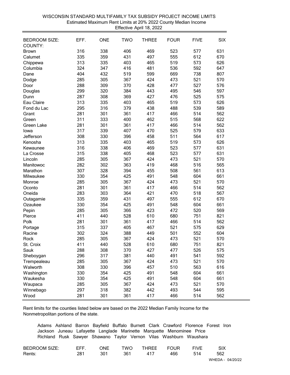| <b>SIX</b><br><b>BEDROOM SIZE:</b><br>EFF.<br><b>ONE</b><br><b>TWO</b><br><b>THREE</b><br><b>FOUR</b><br><b>FIVE</b><br>COUNTY:<br>316<br>338<br>406<br>469<br>523<br>577<br>631<br><b>Brown</b><br>335<br>359<br>431<br>497<br>555<br>612<br>670<br>Calumet<br>313<br>335<br>403<br>465<br>519<br>626<br>573<br>Chippewa<br>324<br>347<br>416<br>481<br>592<br>647<br>536<br>Columbia<br>404<br>432<br>599<br>669<br>738<br>807<br>519<br>Dane<br>285<br>305<br>367<br>424<br>521<br>570<br>473<br>Dodge<br>288<br>309<br>370<br>428<br>527<br>576<br>477<br>Door<br>299<br>320<br>384<br>443<br>546<br>597<br>495<br>Douglas<br>287<br>308<br>369<br>427<br>525<br>575<br>476<br>Dunn<br>313<br>335<br>403<br>465<br>626<br>519<br>573<br>Eau Claire<br>295<br>316<br>379<br>438<br>488<br>539<br>589<br>Fond du Lac<br>281<br>301<br>361<br>417<br>514<br>562<br>466<br>Grant<br>311<br>333<br>400<br>462<br>515<br>568<br>622<br>Green<br>281<br>301<br>361<br>417<br>466<br>514<br>562<br>Green Lake<br>339<br>317<br>407<br>470<br>525<br>579<br>633<br>lowa<br>308<br>330<br>396<br>458<br>511<br>564<br>617<br>Jefferson<br>626<br>313<br>335<br>403<br>465<br>519<br>573<br>Kenosha<br>316<br>338<br>406<br>469<br>523<br>631<br>577<br>Kewaunee<br>631<br>315<br>338<br>405<br>468<br>523<br>577<br>La Crosse<br>285<br>305<br>367<br>424<br>473<br>521<br>570<br>Lincoln<br>282<br>302<br>363<br>419<br>468<br>516<br>565<br>Manitowoc<br>307<br>328<br>394<br>455<br>508<br>561<br>613<br>Marathon<br>330<br>354<br>425<br>491<br>604<br>661<br>548<br>Milwaukee<br>285<br>305<br>367<br>424<br>473<br>521<br>570<br>Monroe<br>281<br>301<br>361<br>417<br>514<br>562<br>466<br>Oconto<br>283<br>303<br>364<br>421<br>518<br>567<br>470<br>Oneida<br>335<br>359<br>431<br>497<br>555<br>612<br>670<br>Outagamie<br>330<br>354<br>425<br>491<br>604<br>661<br>548<br>Ozaukee<br>285<br>305<br>366<br>423<br>472<br>520<br>569<br>Pepin<br>411<br>440<br>528<br>610<br>751<br>821<br>680<br>Pierce<br>281<br>301<br>361<br>417<br>514<br>562<br>466<br>Polk<br>315<br>337<br>405<br>467<br>521<br>575<br>629<br>Portage<br>324<br>302<br>388<br>449<br>501<br>552<br>604<br>Racine<br>285<br>305<br>367<br>424<br>521<br>570<br>473<br>Rock<br>411<br>440<br>610<br>821<br>528<br>680<br>751<br>St. Croix<br>427<br>288<br>308<br>370<br>477<br>526<br>575<br>Sauk<br>381<br>296<br>317<br>440<br>491<br>541<br>592<br>Sheboygan<br>305<br>424<br>285<br>367<br>473<br>521<br>570<br>Trempealeau<br>330<br>510<br>563<br>616<br>308<br>396<br>457<br>Walworth<br>354<br>661<br>330<br>425<br>491<br>548<br>604<br>Washington<br>354<br>661<br>330<br>425<br>491<br>548<br>604<br>Waukesha<br>305<br>424<br>570<br>285<br>367<br>473<br>521<br>Waupaca<br>442<br>297<br>318<br>382<br>493<br>544<br>595<br>Winnebago<br>361<br>417<br>281<br>301<br>466<br>514<br>562<br>Wood |  |  | Lilective April 10, ZUZZ |  |  |
|----------------------------------------------------------------------------------------------------------------------------------------------------------------------------------------------------------------------------------------------------------------------------------------------------------------------------------------------------------------------------------------------------------------------------------------------------------------------------------------------------------------------------------------------------------------------------------------------------------------------------------------------------------------------------------------------------------------------------------------------------------------------------------------------------------------------------------------------------------------------------------------------------------------------------------------------------------------------------------------------------------------------------------------------------------------------------------------------------------------------------------------------------------------------------------------------------------------------------------------------------------------------------------------------------------------------------------------------------------------------------------------------------------------------------------------------------------------------------------------------------------------------------------------------------------------------------------------------------------------------------------------------------------------------------------------------------------------------------------------------------------------------------------------------------------------------------------------------------------------------------------------------------------------------------------------------------------------------------------------------------------------------------------------------------------------------------------------------------------------------------------------------------------------------------------------------------------------------------------------------------------------------------------------------------------------------------------------------------------------------------------------------------------------------------------------------------------------------------------------------------------------------------------------------------------------------------------------------------------------------------------------------------------------------------------------------------------------------------------------------------------------------------------------------------------------------------------------------------------------------------------------|--|--|--------------------------|--|--|
|                                                                                                                                                                                                                                                                                                                                                                                                                                                                                                                                                                                                                                                                                                                                                                                                                                                                                                                                                                                                                                                                                                                                                                                                                                                                                                                                                                                                                                                                                                                                                                                                                                                                                                                                                                                                                                                                                                                                                                                                                                                                                                                                                                                                                                                                                                                                                                                                                                                                                                                                                                                                                                                                                                                                                                                                                                                                                        |  |  |                          |  |  |
|                                                                                                                                                                                                                                                                                                                                                                                                                                                                                                                                                                                                                                                                                                                                                                                                                                                                                                                                                                                                                                                                                                                                                                                                                                                                                                                                                                                                                                                                                                                                                                                                                                                                                                                                                                                                                                                                                                                                                                                                                                                                                                                                                                                                                                                                                                                                                                                                                                                                                                                                                                                                                                                                                                                                                                                                                                                                                        |  |  |                          |  |  |
|                                                                                                                                                                                                                                                                                                                                                                                                                                                                                                                                                                                                                                                                                                                                                                                                                                                                                                                                                                                                                                                                                                                                                                                                                                                                                                                                                                                                                                                                                                                                                                                                                                                                                                                                                                                                                                                                                                                                                                                                                                                                                                                                                                                                                                                                                                                                                                                                                                                                                                                                                                                                                                                                                                                                                                                                                                                                                        |  |  |                          |  |  |
|                                                                                                                                                                                                                                                                                                                                                                                                                                                                                                                                                                                                                                                                                                                                                                                                                                                                                                                                                                                                                                                                                                                                                                                                                                                                                                                                                                                                                                                                                                                                                                                                                                                                                                                                                                                                                                                                                                                                                                                                                                                                                                                                                                                                                                                                                                                                                                                                                                                                                                                                                                                                                                                                                                                                                                                                                                                                                        |  |  |                          |  |  |
|                                                                                                                                                                                                                                                                                                                                                                                                                                                                                                                                                                                                                                                                                                                                                                                                                                                                                                                                                                                                                                                                                                                                                                                                                                                                                                                                                                                                                                                                                                                                                                                                                                                                                                                                                                                                                                                                                                                                                                                                                                                                                                                                                                                                                                                                                                                                                                                                                                                                                                                                                                                                                                                                                                                                                                                                                                                                                        |  |  |                          |  |  |
|                                                                                                                                                                                                                                                                                                                                                                                                                                                                                                                                                                                                                                                                                                                                                                                                                                                                                                                                                                                                                                                                                                                                                                                                                                                                                                                                                                                                                                                                                                                                                                                                                                                                                                                                                                                                                                                                                                                                                                                                                                                                                                                                                                                                                                                                                                                                                                                                                                                                                                                                                                                                                                                                                                                                                                                                                                                                                        |  |  |                          |  |  |
|                                                                                                                                                                                                                                                                                                                                                                                                                                                                                                                                                                                                                                                                                                                                                                                                                                                                                                                                                                                                                                                                                                                                                                                                                                                                                                                                                                                                                                                                                                                                                                                                                                                                                                                                                                                                                                                                                                                                                                                                                                                                                                                                                                                                                                                                                                                                                                                                                                                                                                                                                                                                                                                                                                                                                                                                                                                                                        |  |  |                          |  |  |
|                                                                                                                                                                                                                                                                                                                                                                                                                                                                                                                                                                                                                                                                                                                                                                                                                                                                                                                                                                                                                                                                                                                                                                                                                                                                                                                                                                                                                                                                                                                                                                                                                                                                                                                                                                                                                                                                                                                                                                                                                                                                                                                                                                                                                                                                                                                                                                                                                                                                                                                                                                                                                                                                                                                                                                                                                                                                                        |  |  |                          |  |  |
|                                                                                                                                                                                                                                                                                                                                                                                                                                                                                                                                                                                                                                                                                                                                                                                                                                                                                                                                                                                                                                                                                                                                                                                                                                                                                                                                                                                                                                                                                                                                                                                                                                                                                                                                                                                                                                                                                                                                                                                                                                                                                                                                                                                                                                                                                                                                                                                                                                                                                                                                                                                                                                                                                                                                                                                                                                                                                        |  |  |                          |  |  |
|                                                                                                                                                                                                                                                                                                                                                                                                                                                                                                                                                                                                                                                                                                                                                                                                                                                                                                                                                                                                                                                                                                                                                                                                                                                                                                                                                                                                                                                                                                                                                                                                                                                                                                                                                                                                                                                                                                                                                                                                                                                                                                                                                                                                                                                                                                                                                                                                                                                                                                                                                                                                                                                                                                                                                                                                                                                                                        |  |  |                          |  |  |
|                                                                                                                                                                                                                                                                                                                                                                                                                                                                                                                                                                                                                                                                                                                                                                                                                                                                                                                                                                                                                                                                                                                                                                                                                                                                                                                                                                                                                                                                                                                                                                                                                                                                                                                                                                                                                                                                                                                                                                                                                                                                                                                                                                                                                                                                                                                                                                                                                                                                                                                                                                                                                                                                                                                                                                                                                                                                                        |  |  |                          |  |  |
|                                                                                                                                                                                                                                                                                                                                                                                                                                                                                                                                                                                                                                                                                                                                                                                                                                                                                                                                                                                                                                                                                                                                                                                                                                                                                                                                                                                                                                                                                                                                                                                                                                                                                                                                                                                                                                                                                                                                                                                                                                                                                                                                                                                                                                                                                                                                                                                                                                                                                                                                                                                                                                                                                                                                                                                                                                                                                        |  |  |                          |  |  |
|                                                                                                                                                                                                                                                                                                                                                                                                                                                                                                                                                                                                                                                                                                                                                                                                                                                                                                                                                                                                                                                                                                                                                                                                                                                                                                                                                                                                                                                                                                                                                                                                                                                                                                                                                                                                                                                                                                                                                                                                                                                                                                                                                                                                                                                                                                                                                                                                                                                                                                                                                                                                                                                                                                                                                                                                                                                                                        |  |  |                          |  |  |
|                                                                                                                                                                                                                                                                                                                                                                                                                                                                                                                                                                                                                                                                                                                                                                                                                                                                                                                                                                                                                                                                                                                                                                                                                                                                                                                                                                                                                                                                                                                                                                                                                                                                                                                                                                                                                                                                                                                                                                                                                                                                                                                                                                                                                                                                                                                                                                                                                                                                                                                                                                                                                                                                                                                                                                                                                                                                                        |  |  |                          |  |  |
|                                                                                                                                                                                                                                                                                                                                                                                                                                                                                                                                                                                                                                                                                                                                                                                                                                                                                                                                                                                                                                                                                                                                                                                                                                                                                                                                                                                                                                                                                                                                                                                                                                                                                                                                                                                                                                                                                                                                                                                                                                                                                                                                                                                                                                                                                                                                                                                                                                                                                                                                                                                                                                                                                                                                                                                                                                                                                        |  |  |                          |  |  |
|                                                                                                                                                                                                                                                                                                                                                                                                                                                                                                                                                                                                                                                                                                                                                                                                                                                                                                                                                                                                                                                                                                                                                                                                                                                                                                                                                                                                                                                                                                                                                                                                                                                                                                                                                                                                                                                                                                                                                                                                                                                                                                                                                                                                                                                                                                                                                                                                                                                                                                                                                                                                                                                                                                                                                                                                                                                                                        |  |  |                          |  |  |
|                                                                                                                                                                                                                                                                                                                                                                                                                                                                                                                                                                                                                                                                                                                                                                                                                                                                                                                                                                                                                                                                                                                                                                                                                                                                                                                                                                                                                                                                                                                                                                                                                                                                                                                                                                                                                                                                                                                                                                                                                                                                                                                                                                                                                                                                                                                                                                                                                                                                                                                                                                                                                                                                                                                                                                                                                                                                                        |  |  |                          |  |  |
|                                                                                                                                                                                                                                                                                                                                                                                                                                                                                                                                                                                                                                                                                                                                                                                                                                                                                                                                                                                                                                                                                                                                                                                                                                                                                                                                                                                                                                                                                                                                                                                                                                                                                                                                                                                                                                                                                                                                                                                                                                                                                                                                                                                                                                                                                                                                                                                                                                                                                                                                                                                                                                                                                                                                                                                                                                                                                        |  |  |                          |  |  |
|                                                                                                                                                                                                                                                                                                                                                                                                                                                                                                                                                                                                                                                                                                                                                                                                                                                                                                                                                                                                                                                                                                                                                                                                                                                                                                                                                                                                                                                                                                                                                                                                                                                                                                                                                                                                                                                                                                                                                                                                                                                                                                                                                                                                                                                                                                                                                                                                                                                                                                                                                                                                                                                                                                                                                                                                                                                                                        |  |  |                          |  |  |
|                                                                                                                                                                                                                                                                                                                                                                                                                                                                                                                                                                                                                                                                                                                                                                                                                                                                                                                                                                                                                                                                                                                                                                                                                                                                                                                                                                                                                                                                                                                                                                                                                                                                                                                                                                                                                                                                                                                                                                                                                                                                                                                                                                                                                                                                                                                                                                                                                                                                                                                                                                                                                                                                                                                                                                                                                                                                                        |  |  |                          |  |  |
|                                                                                                                                                                                                                                                                                                                                                                                                                                                                                                                                                                                                                                                                                                                                                                                                                                                                                                                                                                                                                                                                                                                                                                                                                                                                                                                                                                                                                                                                                                                                                                                                                                                                                                                                                                                                                                                                                                                                                                                                                                                                                                                                                                                                                                                                                                                                                                                                                                                                                                                                                                                                                                                                                                                                                                                                                                                                                        |  |  |                          |  |  |
|                                                                                                                                                                                                                                                                                                                                                                                                                                                                                                                                                                                                                                                                                                                                                                                                                                                                                                                                                                                                                                                                                                                                                                                                                                                                                                                                                                                                                                                                                                                                                                                                                                                                                                                                                                                                                                                                                                                                                                                                                                                                                                                                                                                                                                                                                                                                                                                                                                                                                                                                                                                                                                                                                                                                                                                                                                                                                        |  |  |                          |  |  |
|                                                                                                                                                                                                                                                                                                                                                                                                                                                                                                                                                                                                                                                                                                                                                                                                                                                                                                                                                                                                                                                                                                                                                                                                                                                                                                                                                                                                                                                                                                                                                                                                                                                                                                                                                                                                                                                                                                                                                                                                                                                                                                                                                                                                                                                                                                                                                                                                                                                                                                                                                                                                                                                                                                                                                                                                                                                                                        |  |  |                          |  |  |
|                                                                                                                                                                                                                                                                                                                                                                                                                                                                                                                                                                                                                                                                                                                                                                                                                                                                                                                                                                                                                                                                                                                                                                                                                                                                                                                                                                                                                                                                                                                                                                                                                                                                                                                                                                                                                                                                                                                                                                                                                                                                                                                                                                                                                                                                                                                                                                                                                                                                                                                                                                                                                                                                                                                                                                                                                                                                                        |  |  |                          |  |  |
|                                                                                                                                                                                                                                                                                                                                                                                                                                                                                                                                                                                                                                                                                                                                                                                                                                                                                                                                                                                                                                                                                                                                                                                                                                                                                                                                                                                                                                                                                                                                                                                                                                                                                                                                                                                                                                                                                                                                                                                                                                                                                                                                                                                                                                                                                                                                                                                                                                                                                                                                                                                                                                                                                                                                                                                                                                                                                        |  |  |                          |  |  |
|                                                                                                                                                                                                                                                                                                                                                                                                                                                                                                                                                                                                                                                                                                                                                                                                                                                                                                                                                                                                                                                                                                                                                                                                                                                                                                                                                                                                                                                                                                                                                                                                                                                                                                                                                                                                                                                                                                                                                                                                                                                                                                                                                                                                                                                                                                                                                                                                                                                                                                                                                                                                                                                                                                                                                                                                                                                                                        |  |  |                          |  |  |
|                                                                                                                                                                                                                                                                                                                                                                                                                                                                                                                                                                                                                                                                                                                                                                                                                                                                                                                                                                                                                                                                                                                                                                                                                                                                                                                                                                                                                                                                                                                                                                                                                                                                                                                                                                                                                                                                                                                                                                                                                                                                                                                                                                                                                                                                                                                                                                                                                                                                                                                                                                                                                                                                                                                                                                                                                                                                                        |  |  |                          |  |  |
|                                                                                                                                                                                                                                                                                                                                                                                                                                                                                                                                                                                                                                                                                                                                                                                                                                                                                                                                                                                                                                                                                                                                                                                                                                                                                                                                                                                                                                                                                                                                                                                                                                                                                                                                                                                                                                                                                                                                                                                                                                                                                                                                                                                                                                                                                                                                                                                                                                                                                                                                                                                                                                                                                                                                                                                                                                                                                        |  |  |                          |  |  |
|                                                                                                                                                                                                                                                                                                                                                                                                                                                                                                                                                                                                                                                                                                                                                                                                                                                                                                                                                                                                                                                                                                                                                                                                                                                                                                                                                                                                                                                                                                                                                                                                                                                                                                                                                                                                                                                                                                                                                                                                                                                                                                                                                                                                                                                                                                                                                                                                                                                                                                                                                                                                                                                                                                                                                                                                                                                                                        |  |  |                          |  |  |
|                                                                                                                                                                                                                                                                                                                                                                                                                                                                                                                                                                                                                                                                                                                                                                                                                                                                                                                                                                                                                                                                                                                                                                                                                                                                                                                                                                                                                                                                                                                                                                                                                                                                                                                                                                                                                                                                                                                                                                                                                                                                                                                                                                                                                                                                                                                                                                                                                                                                                                                                                                                                                                                                                                                                                                                                                                                                                        |  |  |                          |  |  |
|                                                                                                                                                                                                                                                                                                                                                                                                                                                                                                                                                                                                                                                                                                                                                                                                                                                                                                                                                                                                                                                                                                                                                                                                                                                                                                                                                                                                                                                                                                                                                                                                                                                                                                                                                                                                                                                                                                                                                                                                                                                                                                                                                                                                                                                                                                                                                                                                                                                                                                                                                                                                                                                                                                                                                                                                                                                                                        |  |  |                          |  |  |
|                                                                                                                                                                                                                                                                                                                                                                                                                                                                                                                                                                                                                                                                                                                                                                                                                                                                                                                                                                                                                                                                                                                                                                                                                                                                                                                                                                                                                                                                                                                                                                                                                                                                                                                                                                                                                                                                                                                                                                                                                                                                                                                                                                                                                                                                                                                                                                                                                                                                                                                                                                                                                                                                                                                                                                                                                                                                                        |  |  |                          |  |  |
|                                                                                                                                                                                                                                                                                                                                                                                                                                                                                                                                                                                                                                                                                                                                                                                                                                                                                                                                                                                                                                                                                                                                                                                                                                                                                                                                                                                                                                                                                                                                                                                                                                                                                                                                                                                                                                                                                                                                                                                                                                                                                                                                                                                                                                                                                                                                                                                                                                                                                                                                                                                                                                                                                                                                                                                                                                                                                        |  |  |                          |  |  |
|                                                                                                                                                                                                                                                                                                                                                                                                                                                                                                                                                                                                                                                                                                                                                                                                                                                                                                                                                                                                                                                                                                                                                                                                                                                                                                                                                                                                                                                                                                                                                                                                                                                                                                                                                                                                                                                                                                                                                                                                                                                                                                                                                                                                                                                                                                                                                                                                                                                                                                                                                                                                                                                                                                                                                                                                                                                                                        |  |  |                          |  |  |
|                                                                                                                                                                                                                                                                                                                                                                                                                                                                                                                                                                                                                                                                                                                                                                                                                                                                                                                                                                                                                                                                                                                                                                                                                                                                                                                                                                                                                                                                                                                                                                                                                                                                                                                                                                                                                                                                                                                                                                                                                                                                                                                                                                                                                                                                                                                                                                                                                                                                                                                                                                                                                                                                                                                                                                                                                                                                                        |  |  |                          |  |  |
|                                                                                                                                                                                                                                                                                                                                                                                                                                                                                                                                                                                                                                                                                                                                                                                                                                                                                                                                                                                                                                                                                                                                                                                                                                                                                                                                                                                                                                                                                                                                                                                                                                                                                                                                                                                                                                                                                                                                                                                                                                                                                                                                                                                                                                                                                                                                                                                                                                                                                                                                                                                                                                                                                                                                                                                                                                                                                        |  |  |                          |  |  |
|                                                                                                                                                                                                                                                                                                                                                                                                                                                                                                                                                                                                                                                                                                                                                                                                                                                                                                                                                                                                                                                                                                                                                                                                                                                                                                                                                                                                                                                                                                                                                                                                                                                                                                                                                                                                                                                                                                                                                                                                                                                                                                                                                                                                                                                                                                                                                                                                                                                                                                                                                                                                                                                                                                                                                                                                                                                                                        |  |  |                          |  |  |
|                                                                                                                                                                                                                                                                                                                                                                                                                                                                                                                                                                                                                                                                                                                                                                                                                                                                                                                                                                                                                                                                                                                                                                                                                                                                                                                                                                                                                                                                                                                                                                                                                                                                                                                                                                                                                                                                                                                                                                                                                                                                                                                                                                                                                                                                                                                                                                                                                                                                                                                                                                                                                                                                                                                                                                                                                                                                                        |  |  |                          |  |  |
|                                                                                                                                                                                                                                                                                                                                                                                                                                                                                                                                                                                                                                                                                                                                                                                                                                                                                                                                                                                                                                                                                                                                                                                                                                                                                                                                                                                                                                                                                                                                                                                                                                                                                                                                                                                                                                                                                                                                                                                                                                                                                                                                                                                                                                                                                                                                                                                                                                                                                                                                                                                                                                                                                                                                                                                                                                                                                        |  |  |                          |  |  |
|                                                                                                                                                                                                                                                                                                                                                                                                                                                                                                                                                                                                                                                                                                                                                                                                                                                                                                                                                                                                                                                                                                                                                                                                                                                                                                                                                                                                                                                                                                                                                                                                                                                                                                                                                                                                                                                                                                                                                                                                                                                                                                                                                                                                                                                                                                                                                                                                                                                                                                                                                                                                                                                                                                                                                                                                                                                                                        |  |  |                          |  |  |
|                                                                                                                                                                                                                                                                                                                                                                                                                                                                                                                                                                                                                                                                                                                                                                                                                                                                                                                                                                                                                                                                                                                                                                                                                                                                                                                                                                                                                                                                                                                                                                                                                                                                                                                                                                                                                                                                                                                                                                                                                                                                                                                                                                                                                                                                                                                                                                                                                                                                                                                                                                                                                                                                                                                                                                                                                                                                                        |  |  |                          |  |  |
|                                                                                                                                                                                                                                                                                                                                                                                                                                                                                                                                                                                                                                                                                                                                                                                                                                                                                                                                                                                                                                                                                                                                                                                                                                                                                                                                                                                                                                                                                                                                                                                                                                                                                                                                                                                                                                                                                                                                                                                                                                                                                                                                                                                                                                                                                                                                                                                                                                                                                                                                                                                                                                                                                                                                                                                                                                                                                        |  |  |                          |  |  |
|                                                                                                                                                                                                                                                                                                                                                                                                                                                                                                                                                                                                                                                                                                                                                                                                                                                                                                                                                                                                                                                                                                                                                                                                                                                                                                                                                                                                                                                                                                                                                                                                                                                                                                                                                                                                                                                                                                                                                                                                                                                                                                                                                                                                                                                                                                                                                                                                                                                                                                                                                                                                                                                                                                                                                                                                                                                                                        |  |  |                          |  |  |
|                                                                                                                                                                                                                                                                                                                                                                                                                                                                                                                                                                                                                                                                                                                                                                                                                                                                                                                                                                                                                                                                                                                                                                                                                                                                                                                                                                                                                                                                                                                                                                                                                                                                                                                                                                                                                                                                                                                                                                                                                                                                                                                                                                                                                                                                                                                                                                                                                                                                                                                                                                                                                                                                                                                                                                                                                                                                                        |  |  |                          |  |  |
|                                                                                                                                                                                                                                                                                                                                                                                                                                                                                                                                                                                                                                                                                                                                                                                                                                                                                                                                                                                                                                                                                                                                                                                                                                                                                                                                                                                                                                                                                                                                                                                                                                                                                                                                                                                                                                                                                                                                                                                                                                                                                                                                                                                                                                                                                                                                                                                                                                                                                                                                                                                                                                                                                                                                                                                                                                                                                        |  |  |                          |  |  |
|                                                                                                                                                                                                                                                                                                                                                                                                                                                                                                                                                                                                                                                                                                                                                                                                                                                                                                                                                                                                                                                                                                                                                                                                                                                                                                                                                                                                                                                                                                                                                                                                                                                                                                                                                                                                                                                                                                                                                                                                                                                                                                                                                                                                                                                                                                                                                                                                                                                                                                                                                                                                                                                                                                                                                                                                                                                                                        |  |  |                          |  |  |
|                                                                                                                                                                                                                                                                                                                                                                                                                                                                                                                                                                                                                                                                                                                                                                                                                                                                                                                                                                                                                                                                                                                                                                                                                                                                                                                                                                                                                                                                                                                                                                                                                                                                                                                                                                                                                                                                                                                                                                                                                                                                                                                                                                                                                                                                                                                                                                                                                                                                                                                                                                                                                                                                                                                                                                                                                                                                                        |  |  |                          |  |  |

## WISCONSIN STANDARD MULTIFAMILY TAX SUBSIDY PROJECT INCOME LIMITS Effective April 18, 2022 Estimated Maximum Rent Limits at 20% 2022 County Median Income

Rent limits for the counties listed below are based on the 2022 Median Family Income for the Nonmetropolitan portions of the state.

| <b>BEDROOM SIZE:</b> | FFF. | ONE. | TWO – | THREE FOUR |     | <b>FIVF</b> |     |
|----------------------|------|------|-------|------------|-----|-------------|-----|
| Rents:               | 281  | 301  | 361   | 417        | 466 | 514         | 562 |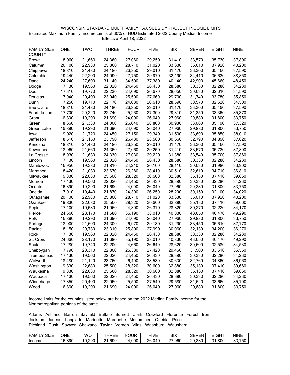| WISCONSIN STANDARD MULTIFAMILY TAX SUBSIDY PROJECT INCOME LIMITS                         |
|------------------------------------------------------------------------------------------|
| Estimated Maximum Family Income Limits at 30% of HUD Estimated 2022 County Median Income |
| Effective April 18, 2022                                                                 |

| <b>FAMILY SIZE</b><br>COUNTY: | <b>ONE</b> | <b>TWO</b> | <b>THREE</b> | <b>FOUR</b> | <b>FIVE</b> | SIX    | <b>SEVEN</b> | <b>EIGHT</b> | <b>NINE</b> |
|-------------------------------|------------|------------|--------------|-------------|-------------|--------|--------------|--------------|-------------|
| <b>Brown</b>                  | 18,960     | 21,660     | 24,360       | 27,060      | 29,250      | 31,410 | 33,570       | 35,730       | 37,890      |
| Calumet                       | 20,100     | 22,980     | 25,860       | 28,710      | 31,020      | 33,330 | 35,610       | 37,920       | 40,200      |
| Chippewa                      | 18,810     | 21,480     | 24,180       | 26,850      | 29,010      | 31,170 | 33,300       | 35,460       | 37,590      |
| Columbia                      | 19,440     | 22,200     | 24,990       | 27,750      | 29,970      | 32,190 | 34,410       | 36,630       | 38,850      |
| Dane                          | 24,240     | 27,690     | 31,140       | 34,590      | 37,380      | 40,140 | 42,900       | 45,660       | 48,450      |
| Dodge                         | 17,130     | 19,560     | 22,020       | 24,450      | 26,430      | 28,380 | 30,330       | 32,280       | 34,230      |
| Door                          | 17,310     | 19,770     | 22,230       | 24,690      | 26,670      | 28,650 | 30,630       | 32,610       | 34,590      |
| Douglas                       | 17,940     | 20,490     | 23,040       | 25,590      | 27,660      | 29,700 | 31,740       | 33,780       | 35,850      |
| Dunn                          | 17,250     | 19,710     | 22,170       | 24,630      | 26,610      | 28,590 | 30,570       | 32,520       | 34,500      |
| Eau Claire                    | 18,810     | 21,480     | 24,180       | 26,850      | 29,010      | 31,170 | 33,300       | 35,460       | 37,590      |
| Fond du Lac                   | 17,700     | 20,220     | 22,740       | 25,260      | 27,300      | 29,310 | 31,350       | 33,360       | 35,370      |
| Grant                         | 16,890     | 19,290     | 21,690       | 24,090      | 26,040      | 27,960 | 29,880       | 31,800       | 33,750      |
| Green                         | 18,660     | 21,330     | 24,000       | 26,640      | 28,800      | 30,930 | 33,060       | 35,190       | 37,320      |
| Green Lake                    | 16,890     | 19,290     | 21,690       | 24,090      | 26,040      | 27,960 | 29,880       | 31,800       | 33,750      |
| lowa                          | 19,020     | 21,720     | 24,450       | 27,150      | 29,340      | 31,500 | 33,690       | 35,850       | 38,010      |
| Jefferson                     | 18,510     | 21,150     | 23,790       | 26,430      | 28,560      | 30,660 | 32,790       | 34,890       | 37,020      |
| Kenosha                       | 18,810     | 21,480     | 24,180       | 26,850      | 29,010      | 31,170 | 33,300       | 35,460       | 37,590      |
| Kewaunee                      | 18,960     | 21,660     | 24,360       | 27,060      | 29,250      | 31,410 | 33,570       | 35,730       | 37,890      |
| La Crosse                     | 18,930     | 21,630     | 24,330       | 27,030      | 29,220      | 31,380 | 33,540       | 35,700       | 37,860      |
| Lincoln                       | 17,130     | 19,560     | 22,020       | 24,450      | 26,430      | 28,380 | 30,330       | 32,280       | 34,230      |
| Manitowoc                     | 16,950     | 19,380     | 21,810       | 24,210      | 26,160      | 28,110 | 30,030       | 31,980       | 33,900      |
| Marathon                      | 18,420     | 21,030     | 23,670       | 26,280      | 28,410      | 30,510 | 32,610       | 34,710       | 36,810      |
| Milwaukee                     | 19,830     | 22,680     | 25,500       | 28,320      | 30,600      | 32,880 | 35,130       | 37,410       | 39,660      |
| Monroe                        | 17,130     | 19,560     | 22,020       | 24,450      | 26,430      | 28,380 | 30,330       | 32,280       | 34,230      |
| Oconto                        | 16,890     | 19,290     | 21,690       | 24,090      | 26,040      | 27,960 | 29,880       | 31,800       | 33,750      |
| Oneida                        | 17,010     | 19,440     | 21,870       | 24,300      | 26,250      | 28,200 | 30,150       | 32,100       | 34,020      |
| Outagamie                     | 20,100     | 22,980     | 25,860       | 28,710      | 31,020      | 33,330 | 35,610       | 37,920       | 40,200      |
| Ozaukee                       | 19,830     | 22,680     | 25,500       | 28,320      | 30,600      | 32,880 | 35,130       | 37,410       | 39,660      |
| Pepin                         | 17,100     | 19,530     | 21,960       | 24,390      | 26,370      | 28,320 | 30,270       | 32,220       | 34,170      |
| Pierce                        | 24,660     | 28,170     | 31,680       | 35,190      | 38,010      | 40,830 | 43,650       | 46,470       | 49,290      |
| Polk                          | 16,890     | 19,290     | 21,690       | 24,090      | 26,040      | 27,960 | 29,880       | 31,800       | 33,750      |
| Portage                       | 18,900     | 21,600     | 24,300       | 26,970      | 29,130      | 31,290 | 33,450       | 35,610       | 37,770      |
| Racine                        | 18,150     | 20,730     | 23,310       | 25,890      | 27,990      | 30,060 | 32,130       | 34,200       | 36,270      |
| Rock                          | 17,130     | 19,560     | 22,020       | 24,450      | 26,430      | 28,380 | 30,330       | 32,280       | 34,230      |
| St. Croix                     | 24,660     | 28,170     | 31,680       | 35,190      | 38,010      | 40,830 | 43,650       | 46,470       | 49,290      |
| Sauk                          | 17,280     | 19,740     | 22,200       | 24,660      | 26,640      | 28,620 | 30,600       | 32,580       | 34,530      |
| Sheboygan                     | 17,790     | 20,310     | 22,860       | 25,380      | 27,420      | 29,460 | 31,500       | 33,510       | 35,550      |
| I rempealeau                  | 17,130     | 19,560     | 22,020       | 24,450      | 26,430      | 28,380 | 30,330       | 32,280       | 34,230      |
| Walworth                      | 18,480     | 21,120     | 23,760       | 26,400      | 28,530      | 30,630 | 32,760       | 34,860       | 36,960      |
| Washington                    | 19,830     | 22,680     | 25,500       | 28,320      | 30,600      | 32,880 | 35,130       | 37,410       | 39,660      |
| Waukesha                      | 19,830     | 22,680     | 25,500       | 28,320      | 30,600      | 32,880 | 35,130       | 37,410       | 39,660      |
| Waupaca                       | 17,130     | 19,560     | 22,020       | 24,450      | 26,430      | 28,380 | 30,330       | 32,280       | 34,230      |
| Winnebago                     | 17,850     | 20,400     | 22,950       | 25,500      | 27,540      | 29,580 | 31,620       | 33,660       | 35,700      |
| Wood                          | 16,890     | 19,290     | 21,690       | 24,090      | 26,040      | 27,960 | 29,880       | 31,800       | 33,750      |

| <b>FAMIL</b><br>SIZE | ONE    | <b>TWC</b> | <b>THREE</b>          | ≂OUR        | FIVF   | SIX            | $\sim$<br><b>SEVEN'</b> | EIGHT  | NINE        |
|----------------------|--------|------------|-----------------------|-------------|--------|----------------|-------------------------|--------|-------------|
| Ilncome:             | 16,890 | 19,290     | .690<br>ົ<br><u>_</u> | 090.ا<br>7Δ | 26.040 | $\sim$<br>.960 | 29,880                  | 31.800 | ົ<br>33,750 |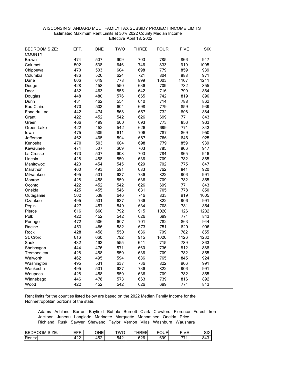| 474<br>507<br>609<br>703<br>785<br>947<br>866<br><b>Brown</b><br>538<br>646<br>746<br>833<br>Calumet<br>502<br>919<br>1005<br>470<br>503<br>604<br>698<br>779<br>859<br>939<br>Chippewa<br>520<br>624<br>721<br>804<br>971<br>Columbia<br>486<br>888<br>606<br>649<br>778<br>899<br>1003<br>1107<br>1211<br>Dane<br>428<br>458<br>550<br>636<br>709<br>782<br>855<br>Dodge<br>790<br>432<br>463<br>555<br>642<br>716<br>864<br>Door<br>448<br>480<br>576<br>665<br>742<br>819<br>896<br>Douglas<br>431<br>462<br>554<br>640<br>714<br>788<br>862<br>Dunn<br>Eau Claire<br>470<br>503<br>604<br>698<br>779<br>859<br>939<br>442<br>474<br>732<br>Fond du Lac<br>568<br>657<br>808<br>884<br>626<br>699<br>422<br>452<br>542<br>771<br>843<br>Grant<br>466<br>499<br>600<br>693<br>773<br>933<br>853<br>Green<br>626<br>699<br>771<br>Green Lake<br>422<br>452<br>542<br>843<br>475<br>509<br>611<br>706<br>787<br>869<br>950<br>lowa<br>462<br>495<br>594<br>687<br>766<br>925<br>Jefferson<br>846<br>470<br>503<br>698<br>779<br>859<br>939<br>Kenosha<br>604<br>474<br>507<br>609<br>703<br>785<br>947<br>866<br>Kewaunee<br>473<br>507<br>608<br>703<br>784<br>865<br>946<br>La Crosse<br>428<br>458<br>550<br>636<br>709<br>855<br>Lincoln<br>782<br>423<br>454<br>629<br>702<br>775<br>Manitowoc<br>545<br>847<br>493<br>762<br>460<br>591<br>683<br>841<br>920<br>Marathon<br>531<br>495<br>637<br>736<br>822<br>906<br>991<br>Milwaukee<br>709<br>428<br>458<br>550<br>636<br>782<br>855<br>Monroe<br>422<br>452<br>542<br>626<br>699<br>771<br>843<br>Oconto<br>425<br>455<br>546<br>631<br>705<br>778<br>850<br>Oneida<br>502<br>538<br>833<br>646<br>746<br>919<br>1005<br>Outagamie<br>495<br>531<br>637<br>822<br>991<br>736<br>906<br>Ozaukee<br>427<br>457<br>708<br>781<br>854<br>549<br>634<br>Pepin<br>616<br>660<br>792<br>915<br>1020<br>1126<br>1232<br>Pierce<br>452<br>626<br>699<br>771<br>843<br>422<br>542<br>Polk<br>472<br>506<br>944<br>607<br>701<br>782<br>863<br>Portage<br>453<br>486<br>582<br>673<br>751<br>829<br>906<br>Racine<br>428<br>458<br>550<br>636<br>709<br>782<br>855<br>Rock<br>616<br>660<br>792<br>915<br>1020<br>1126<br>1232<br>St. Croix<br>432<br>462<br>555<br>641<br>715<br>789<br>863<br>Sauk<br>444<br>476<br>571<br>660<br>736<br>812<br>888<br>Sheboygan<br>428<br>458<br>550<br>636<br>709<br>782<br>855<br>Trempealeau<br>462<br>495<br>594<br>686<br>765<br>845<br>924<br>Walworth<br>495<br>531<br>637<br>736<br>822<br>906<br>991<br>Washington<br>495<br>531<br>637<br>736<br>822<br>906<br>991<br>Waukesha<br>428<br>458<br>550<br>636<br>709<br>782<br>855<br>Waupaca<br>446<br>478<br>573<br>663<br>739<br>816<br>892<br>Winnebago | <b>BEDROOM SIZE:</b><br>COUNTY: | EFF. | ONE | <b>TWO</b> | <b>THREE</b> | <b>FOUR</b> | <b>FIVE</b> | <b>SIX</b> |
|-------------------------------------------------------------------------------------------------------------------------------------------------------------------------------------------------------------------------------------------------------------------------------------------------------------------------------------------------------------------------------------------------------------------------------------------------------------------------------------------------------------------------------------------------------------------------------------------------------------------------------------------------------------------------------------------------------------------------------------------------------------------------------------------------------------------------------------------------------------------------------------------------------------------------------------------------------------------------------------------------------------------------------------------------------------------------------------------------------------------------------------------------------------------------------------------------------------------------------------------------------------------------------------------------------------------------------------------------------------------------------------------------------------------------------------------------------------------------------------------------------------------------------------------------------------------------------------------------------------------------------------------------------------------------------------------------------------------------------------------------------------------------------------------------------------------------------------------------------------------------------------------------------------------------------------------------------------------------------------------------------------------------------------------------------------------------------------------------------------------------------------------------------------------------------------------------------------------------------------------------------------------------------------------------------------------------------------------------------------------------------------------------------------------------------------------------------------------------------------------------------------------------------------------------------------------------------------------------------------------------------------------------------------------------------------------------------|---------------------------------|------|-----|------------|--------------|-------------|-------------|------------|
|                                                                                                                                                                                                                                                                                                                                                                                                                                                                                                                                                                                                                                                                                                                                                                                                                                                                                                                                                                                                                                                                                                                                                                                                                                                                                                                                                                                                                                                                                                                                                                                                                                                                                                                                                                                                                                                                                                                                                                                                                                                                                                                                                                                                                                                                                                                                                                                                                                                                                                                                                                                                                                                                                                       |                                 |      |     |            |              |             |             |            |
|                                                                                                                                                                                                                                                                                                                                                                                                                                                                                                                                                                                                                                                                                                                                                                                                                                                                                                                                                                                                                                                                                                                                                                                                                                                                                                                                                                                                                                                                                                                                                                                                                                                                                                                                                                                                                                                                                                                                                                                                                                                                                                                                                                                                                                                                                                                                                                                                                                                                                                                                                                                                                                                                                                       |                                 |      |     |            |              |             |             |            |
|                                                                                                                                                                                                                                                                                                                                                                                                                                                                                                                                                                                                                                                                                                                                                                                                                                                                                                                                                                                                                                                                                                                                                                                                                                                                                                                                                                                                                                                                                                                                                                                                                                                                                                                                                                                                                                                                                                                                                                                                                                                                                                                                                                                                                                                                                                                                                                                                                                                                                                                                                                                                                                                                                                       |                                 |      |     |            |              |             |             |            |
|                                                                                                                                                                                                                                                                                                                                                                                                                                                                                                                                                                                                                                                                                                                                                                                                                                                                                                                                                                                                                                                                                                                                                                                                                                                                                                                                                                                                                                                                                                                                                                                                                                                                                                                                                                                                                                                                                                                                                                                                                                                                                                                                                                                                                                                                                                                                                                                                                                                                                                                                                                                                                                                                                                       |                                 |      |     |            |              |             |             |            |
|                                                                                                                                                                                                                                                                                                                                                                                                                                                                                                                                                                                                                                                                                                                                                                                                                                                                                                                                                                                                                                                                                                                                                                                                                                                                                                                                                                                                                                                                                                                                                                                                                                                                                                                                                                                                                                                                                                                                                                                                                                                                                                                                                                                                                                                                                                                                                                                                                                                                                                                                                                                                                                                                                                       |                                 |      |     |            |              |             |             |            |
|                                                                                                                                                                                                                                                                                                                                                                                                                                                                                                                                                                                                                                                                                                                                                                                                                                                                                                                                                                                                                                                                                                                                                                                                                                                                                                                                                                                                                                                                                                                                                                                                                                                                                                                                                                                                                                                                                                                                                                                                                                                                                                                                                                                                                                                                                                                                                                                                                                                                                                                                                                                                                                                                                                       |                                 |      |     |            |              |             |             |            |
|                                                                                                                                                                                                                                                                                                                                                                                                                                                                                                                                                                                                                                                                                                                                                                                                                                                                                                                                                                                                                                                                                                                                                                                                                                                                                                                                                                                                                                                                                                                                                                                                                                                                                                                                                                                                                                                                                                                                                                                                                                                                                                                                                                                                                                                                                                                                                                                                                                                                                                                                                                                                                                                                                                       |                                 |      |     |            |              |             |             |            |
|                                                                                                                                                                                                                                                                                                                                                                                                                                                                                                                                                                                                                                                                                                                                                                                                                                                                                                                                                                                                                                                                                                                                                                                                                                                                                                                                                                                                                                                                                                                                                                                                                                                                                                                                                                                                                                                                                                                                                                                                                                                                                                                                                                                                                                                                                                                                                                                                                                                                                                                                                                                                                                                                                                       |                                 |      |     |            |              |             |             |            |
|                                                                                                                                                                                                                                                                                                                                                                                                                                                                                                                                                                                                                                                                                                                                                                                                                                                                                                                                                                                                                                                                                                                                                                                                                                                                                                                                                                                                                                                                                                                                                                                                                                                                                                                                                                                                                                                                                                                                                                                                                                                                                                                                                                                                                                                                                                                                                                                                                                                                                                                                                                                                                                                                                                       |                                 |      |     |            |              |             |             |            |
|                                                                                                                                                                                                                                                                                                                                                                                                                                                                                                                                                                                                                                                                                                                                                                                                                                                                                                                                                                                                                                                                                                                                                                                                                                                                                                                                                                                                                                                                                                                                                                                                                                                                                                                                                                                                                                                                                                                                                                                                                                                                                                                                                                                                                                                                                                                                                                                                                                                                                                                                                                                                                                                                                                       |                                 |      |     |            |              |             |             |            |
|                                                                                                                                                                                                                                                                                                                                                                                                                                                                                                                                                                                                                                                                                                                                                                                                                                                                                                                                                                                                                                                                                                                                                                                                                                                                                                                                                                                                                                                                                                                                                                                                                                                                                                                                                                                                                                                                                                                                                                                                                                                                                                                                                                                                                                                                                                                                                                                                                                                                                                                                                                                                                                                                                                       |                                 |      |     |            |              |             |             |            |
|                                                                                                                                                                                                                                                                                                                                                                                                                                                                                                                                                                                                                                                                                                                                                                                                                                                                                                                                                                                                                                                                                                                                                                                                                                                                                                                                                                                                                                                                                                                                                                                                                                                                                                                                                                                                                                                                                                                                                                                                                                                                                                                                                                                                                                                                                                                                                                                                                                                                                                                                                                                                                                                                                                       |                                 |      |     |            |              |             |             |            |
|                                                                                                                                                                                                                                                                                                                                                                                                                                                                                                                                                                                                                                                                                                                                                                                                                                                                                                                                                                                                                                                                                                                                                                                                                                                                                                                                                                                                                                                                                                                                                                                                                                                                                                                                                                                                                                                                                                                                                                                                                                                                                                                                                                                                                                                                                                                                                                                                                                                                                                                                                                                                                                                                                                       |                                 |      |     |            |              |             |             |            |
|                                                                                                                                                                                                                                                                                                                                                                                                                                                                                                                                                                                                                                                                                                                                                                                                                                                                                                                                                                                                                                                                                                                                                                                                                                                                                                                                                                                                                                                                                                                                                                                                                                                                                                                                                                                                                                                                                                                                                                                                                                                                                                                                                                                                                                                                                                                                                                                                                                                                                                                                                                                                                                                                                                       |                                 |      |     |            |              |             |             |            |
|                                                                                                                                                                                                                                                                                                                                                                                                                                                                                                                                                                                                                                                                                                                                                                                                                                                                                                                                                                                                                                                                                                                                                                                                                                                                                                                                                                                                                                                                                                                                                                                                                                                                                                                                                                                                                                                                                                                                                                                                                                                                                                                                                                                                                                                                                                                                                                                                                                                                                                                                                                                                                                                                                                       |                                 |      |     |            |              |             |             |            |
|                                                                                                                                                                                                                                                                                                                                                                                                                                                                                                                                                                                                                                                                                                                                                                                                                                                                                                                                                                                                                                                                                                                                                                                                                                                                                                                                                                                                                                                                                                                                                                                                                                                                                                                                                                                                                                                                                                                                                                                                                                                                                                                                                                                                                                                                                                                                                                                                                                                                                                                                                                                                                                                                                                       |                                 |      |     |            |              |             |             |            |
|                                                                                                                                                                                                                                                                                                                                                                                                                                                                                                                                                                                                                                                                                                                                                                                                                                                                                                                                                                                                                                                                                                                                                                                                                                                                                                                                                                                                                                                                                                                                                                                                                                                                                                                                                                                                                                                                                                                                                                                                                                                                                                                                                                                                                                                                                                                                                                                                                                                                                                                                                                                                                                                                                                       |                                 |      |     |            |              |             |             |            |
|                                                                                                                                                                                                                                                                                                                                                                                                                                                                                                                                                                                                                                                                                                                                                                                                                                                                                                                                                                                                                                                                                                                                                                                                                                                                                                                                                                                                                                                                                                                                                                                                                                                                                                                                                                                                                                                                                                                                                                                                                                                                                                                                                                                                                                                                                                                                                                                                                                                                                                                                                                                                                                                                                                       |                                 |      |     |            |              |             |             |            |
|                                                                                                                                                                                                                                                                                                                                                                                                                                                                                                                                                                                                                                                                                                                                                                                                                                                                                                                                                                                                                                                                                                                                                                                                                                                                                                                                                                                                                                                                                                                                                                                                                                                                                                                                                                                                                                                                                                                                                                                                                                                                                                                                                                                                                                                                                                                                                                                                                                                                                                                                                                                                                                                                                                       |                                 |      |     |            |              |             |             |            |
|                                                                                                                                                                                                                                                                                                                                                                                                                                                                                                                                                                                                                                                                                                                                                                                                                                                                                                                                                                                                                                                                                                                                                                                                                                                                                                                                                                                                                                                                                                                                                                                                                                                                                                                                                                                                                                                                                                                                                                                                                                                                                                                                                                                                                                                                                                                                                                                                                                                                                                                                                                                                                                                                                                       |                                 |      |     |            |              |             |             |            |
|                                                                                                                                                                                                                                                                                                                                                                                                                                                                                                                                                                                                                                                                                                                                                                                                                                                                                                                                                                                                                                                                                                                                                                                                                                                                                                                                                                                                                                                                                                                                                                                                                                                                                                                                                                                                                                                                                                                                                                                                                                                                                                                                                                                                                                                                                                                                                                                                                                                                                                                                                                                                                                                                                                       |                                 |      |     |            |              |             |             |            |
|                                                                                                                                                                                                                                                                                                                                                                                                                                                                                                                                                                                                                                                                                                                                                                                                                                                                                                                                                                                                                                                                                                                                                                                                                                                                                                                                                                                                                                                                                                                                                                                                                                                                                                                                                                                                                                                                                                                                                                                                                                                                                                                                                                                                                                                                                                                                                                                                                                                                                                                                                                                                                                                                                                       |                                 |      |     |            |              |             |             |            |
|                                                                                                                                                                                                                                                                                                                                                                                                                                                                                                                                                                                                                                                                                                                                                                                                                                                                                                                                                                                                                                                                                                                                                                                                                                                                                                                                                                                                                                                                                                                                                                                                                                                                                                                                                                                                                                                                                                                                                                                                                                                                                                                                                                                                                                                                                                                                                                                                                                                                                                                                                                                                                                                                                                       |                                 |      |     |            |              |             |             |            |
|                                                                                                                                                                                                                                                                                                                                                                                                                                                                                                                                                                                                                                                                                                                                                                                                                                                                                                                                                                                                                                                                                                                                                                                                                                                                                                                                                                                                                                                                                                                                                                                                                                                                                                                                                                                                                                                                                                                                                                                                                                                                                                                                                                                                                                                                                                                                                                                                                                                                                                                                                                                                                                                                                                       |                                 |      |     |            |              |             |             |            |
|                                                                                                                                                                                                                                                                                                                                                                                                                                                                                                                                                                                                                                                                                                                                                                                                                                                                                                                                                                                                                                                                                                                                                                                                                                                                                                                                                                                                                                                                                                                                                                                                                                                                                                                                                                                                                                                                                                                                                                                                                                                                                                                                                                                                                                                                                                                                                                                                                                                                                                                                                                                                                                                                                                       |                                 |      |     |            |              |             |             |            |
|                                                                                                                                                                                                                                                                                                                                                                                                                                                                                                                                                                                                                                                                                                                                                                                                                                                                                                                                                                                                                                                                                                                                                                                                                                                                                                                                                                                                                                                                                                                                                                                                                                                                                                                                                                                                                                                                                                                                                                                                                                                                                                                                                                                                                                                                                                                                                                                                                                                                                                                                                                                                                                                                                                       |                                 |      |     |            |              |             |             |            |
|                                                                                                                                                                                                                                                                                                                                                                                                                                                                                                                                                                                                                                                                                                                                                                                                                                                                                                                                                                                                                                                                                                                                                                                                                                                                                                                                                                                                                                                                                                                                                                                                                                                                                                                                                                                                                                                                                                                                                                                                                                                                                                                                                                                                                                                                                                                                                                                                                                                                                                                                                                                                                                                                                                       |                                 |      |     |            |              |             |             |            |
|                                                                                                                                                                                                                                                                                                                                                                                                                                                                                                                                                                                                                                                                                                                                                                                                                                                                                                                                                                                                                                                                                                                                                                                                                                                                                                                                                                                                                                                                                                                                                                                                                                                                                                                                                                                                                                                                                                                                                                                                                                                                                                                                                                                                                                                                                                                                                                                                                                                                                                                                                                                                                                                                                                       |                                 |      |     |            |              |             |             |            |
|                                                                                                                                                                                                                                                                                                                                                                                                                                                                                                                                                                                                                                                                                                                                                                                                                                                                                                                                                                                                                                                                                                                                                                                                                                                                                                                                                                                                                                                                                                                                                                                                                                                                                                                                                                                                                                                                                                                                                                                                                                                                                                                                                                                                                                                                                                                                                                                                                                                                                                                                                                                                                                                                                                       |                                 |      |     |            |              |             |             |            |
|                                                                                                                                                                                                                                                                                                                                                                                                                                                                                                                                                                                                                                                                                                                                                                                                                                                                                                                                                                                                                                                                                                                                                                                                                                                                                                                                                                                                                                                                                                                                                                                                                                                                                                                                                                                                                                                                                                                                                                                                                                                                                                                                                                                                                                                                                                                                                                                                                                                                                                                                                                                                                                                                                                       |                                 |      |     |            |              |             |             |            |
|                                                                                                                                                                                                                                                                                                                                                                                                                                                                                                                                                                                                                                                                                                                                                                                                                                                                                                                                                                                                                                                                                                                                                                                                                                                                                                                                                                                                                                                                                                                                                                                                                                                                                                                                                                                                                                                                                                                                                                                                                                                                                                                                                                                                                                                                                                                                                                                                                                                                                                                                                                                                                                                                                                       |                                 |      |     |            |              |             |             |            |
|                                                                                                                                                                                                                                                                                                                                                                                                                                                                                                                                                                                                                                                                                                                                                                                                                                                                                                                                                                                                                                                                                                                                                                                                                                                                                                                                                                                                                                                                                                                                                                                                                                                                                                                                                                                                                                                                                                                                                                                                                                                                                                                                                                                                                                                                                                                                                                                                                                                                                                                                                                                                                                                                                                       |                                 |      |     |            |              |             |             |            |
|                                                                                                                                                                                                                                                                                                                                                                                                                                                                                                                                                                                                                                                                                                                                                                                                                                                                                                                                                                                                                                                                                                                                                                                                                                                                                                                                                                                                                                                                                                                                                                                                                                                                                                                                                                                                                                                                                                                                                                                                                                                                                                                                                                                                                                                                                                                                                                                                                                                                                                                                                                                                                                                                                                       |                                 |      |     |            |              |             |             |            |
|                                                                                                                                                                                                                                                                                                                                                                                                                                                                                                                                                                                                                                                                                                                                                                                                                                                                                                                                                                                                                                                                                                                                                                                                                                                                                                                                                                                                                                                                                                                                                                                                                                                                                                                                                                                                                                                                                                                                                                                                                                                                                                                                                                                                                                                                                                                                                                                                                                                                                                                                                                                                                                                                                                       |                                 |      |     |            |              |             |             |            |
|                                                                                                                                                                                                                                                                                                                                                                                                                                                                                                                                                                                                                                                                                                                                                                                                                                                                                                                                                                                                                                                                                                                                                                                                                                                                                                                                                                                                                                                                                                                                                                                                                                                                                                                                                                                                                                                                                                                                                                                                                                                                                                                                                                                                                                                                                                                                                                                                                                                                                                                                                                                                                                                                                                       |                                 |      |     |            |              |             |             |            |
|                                                                                                                                                                                                                                                                                                                                                                                                                                                                                                                                                                                                                                                                                                                                                                                                                                                                                                                                                                                                                                                                                                                                                                                                                                                                                                                                                                                                                                                                                                                                                                                                                                                                                                                                                                                                                                                                                                                                                                                                                                                                                                                                                                                                                                                                                                                                                                                                                                                                                                                                                                                                                                                                                                       |                                 |      |     |            |              |             |             |            |
|                                                                                                                                                                                                                                                                                                                                                                                                                                                                                                                                                                                                                                                                                                                                                                                                                                                                                                                                                                                                                                                                                                                                                                                                                                                                                                                                                                                                                                                                                                                                                                                                                                                                                                                                                                                                                                                                                                                                                                                                                                                                                                                                                                                                                                                                                                                                                                                                                                                                                                                                                                                                                                                                                                       |                                 |      |     |            |              |             |             |            |
|                                                                                                                                                                                                                                                                                                                                                                                                                                                                                                                                                                                                                                                                                                                                                                                                                                                                                                                                                                                                                                                                                                                                                                                                                                                                                                                                                                                                                                                                                                                                                                                                                                                                                                                                                                                                                                                                                                                                                                                                                                                                                                                                                                                                                                                                                                                                                                                                                                                                                                                                                                                                                                                                                                       |                                 |      |     |            |              |             |             |            |
|                                                                                                                                                                                                                                                                                                                                                                                                                                                                                                                                                                                                                                                                                                                                                                                                                                                                                                                                                                                                                                                                                                                                                                                                                                                                                                                                                                                                                                                                                                                                                                                                                                                                                                                                                                                                                                                                                                                                                                                                                                                                                                                                                                                                                                                                                                                                                                                                                                                                                                                                                                                                                                                                                                       |                                 |      |     |            |              |             |             |            |
|                                                                                                                                                                                                                                                                                                                                                                                                                                                                                                                                                                                                                                                                                                                                                                                                                                                                                                                                                                                                                                                                                                                                                                                                                                                                                                                                                                                                                                                                                                                                                                                                                                                                                                                                                                                                                                                                                                                                                                                                                                                                                                                                                                                                                                                                                                                                                                                                                                                                                                                                                                                                                                                                                                       |                                 |      |     |            |              |             |             |            |
|                                                                                                                                                                                                                                                                                                                                                                                                                                                                                                                                                                                                                                                                                                                                                                                                                                                                                                                                                                                                                                                                                                                                                                                                                                                                                                                                                                                                                                                                                                                                                                                                                                                                                                                                                                                                                                                                                                                                                                                                                                                                                                                                                                                                                                                                                                                                                                                                                                                                                                                                                                                                                                                                                                       |                                 |      |     |            |              |             |             |            |
|                                                                                                                                                                                                                                                                                                                                                                                                                                                                                                                                                                                                                                                                                                                                                                                                                                                                                                                                                                                                                                                                                                                                                                                                                                                                                                                                                                                                                                                                                                                                                                                                                                                                                                                                                                                                                                                                                                                                                                                                                                                                                                                                                                                                                                                                                                                                                                                                                                                                                                                                                                                                                                                                                                       |                                 |      |     |            |              |             |             |            |
| 422<br>452<br>626<br>699<br>843<br>542<br>771<br>Wood                                                                                                                                                                                                                                                                                                                                                                                                                                                                                                                                                                                                                                                                                                                                                                                                                                                                                                                                                                                                                                                                                                                                                                                                                                                                                                                                                                                                                                                                                                                                                                                                                                                                                                                                                                                                                                                                                                                                                                                                                                                                                                                                                                                                                                                                                                                                                                                                                                                                                                                                                                                                                                                 |                                 |      |     |            |              |             |             |            |

 WISCONSIN STANDARD MULTIFAMILY TAX SUBSIDY PROJECT INCOME LIMITS Effective April 18, 2022Estimated Maximum Rent Limits at 30% 2022 County Median Income

| $- -$<br>$\sim$<br><b>IBED</b><br>JМ<br>או<br>м<br>--<br>` ວI∠⊏.<br>∼ | ---<br>---<br>-- | ONE  | TWOL        | $100 - 1$<br>$-1$<br>-<br>.<br>៶∟ι | ----<br>٠н.<br>ີ | <b>EILIE</b><br>M⊢<br>_ | $\sim$<br>∼יפ |
|-----------------------------------------------------------------------|------------------|------|-------------|------------------------------------|------------------|-------------------------|---------------|
| $\overline{\phantom{0}}$                                              | ໍາລ              | ı ro | <b>F</b> A0 | 67A                                | 699              | 774                     | 843           |
| Rents:                                                                | .                | ےت⊦  | 542         | ◡∠◡                                | ບບບ              |                         |               |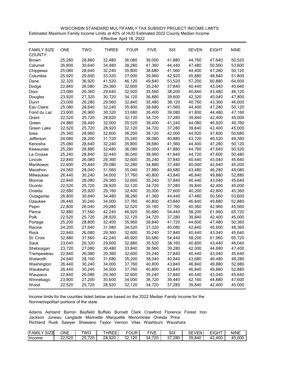| WISCONSIN STANDARD MULTIFAMILY TAX SUBSIDY PROJECT INCOME LIMITS                         |
|------------------------------------------------------------------------------------------|
| Estimated Maximum Family Income Limits at 40% of HUD Estimated 2022 County Median Income |
| Effective April 18, 2022                                                                 |

| <b>FAMILY SIZE</b><br>COUNTY: | <b>ONE</b> | <b>TWO</b> | <b>THREE</b> | <b>FOUR</b> | <b>FIVE</b> | <b>SIX</b> | <b>SEVEN</b> | <b>EIGHT</b> | <b>NINE</b> |
|-------------------------------|------------|------------|--------------|-------------|-------------|------------|--------------|--------------|-------------|
| Brown                         | 25,280     | 28,880     | 32,480       | 36,080      | 39,000      | 41,880     | 44,760       | 47,640       | 50,520      |
| Calumet                       | 26,800     | 30,640     | 34,480       | 38,280      | 41,360      | 44,440     | 47,480       | 50,560       | 53,600      |
| Chippewa                      | 25,080     | 28,640     | 32,240       | 35,800      | 38,680      | 41,560     | 44,400       | 47,280       | 50,120      |
| Columbia                      | 25,920     | 29,600     | 33,320       | 37,000      | 39,960      | 42,920     | 45,880       | 48,840       | 51,800      |
| Dane                          | 32,320     | 36,920     | 41,520       | 46,120      | 49,840      | 53,520     | 57,200       | 60,880       | 64,600      |
| Dodge                         | 22,840     | 26,080     | 29,360       | 32,600      | 35,240      | 37,840     | 40,440       | 43,040       | 45,640      |
| Door                          | 23,080     | 26,360     | 29,640       | 32,920      | 35,560      | 38,200     | 40,840       | 43,480       | 46,120      |
| Douglas                       | 23,920     | 27,320     | 30,720       | 34,120      | 36,880      | 39,600     | 42,320       | 45,040       | 47,800      |
| Dunn                          | 23,000     | 26,280     | 29,560       | 32,840      | 35,480      | 38,120     | 40,760       | 43,360       | 46,000      |
| Eau Claire                    | 25,080     | 28,640     | 32,240       | 35,800      | 38,680      | 41,560     | 44,400       | 47,280       | 50,120      |
| Fond du Lac                   | 23,600     | 26,960     | 30,320       | 33,680      | 36,400      | 39,080     | 41,800       | 44,480       | 47,160      |
| Grant                         | 22,520     | 25,720     | 28,920       | 32,120      | 34,720      | 37,280     | 39,840       | 42,400       | 45,000      |
| Green                         | 24,880     | 28,440     | 32,000       | 35,520      | 38,400      | 41,240     | 44,080       | 46,920       | 49,760      |
| Green Lake                    | 22,520     | 25,720     | 28,920       | 32,120      | 34,720      | 37,280     | 39,840       | 42,400       | 45,000      |
| lowa                          | 25,360     | 28,960     | 32,600       | 36,200      | 39,120      | 42,000     | 44,920       | 47,800       | 50,680      |
| Jefferson                     | 24,680     | 28,200     | 31,720       | 35,240      | 38,080      | 40,880     | 43,720       | 46,520       | 49,360      |
| Kenosha                       | 25,080     | 28,640     | 32,240       | 35,800      | 38,680      | 41,560     | 44,400       | 47,280       | 50,120      |
| Kewaunee                      | 25,280     | 28,880     | 32,480       | 36,080      | 39,000      | 41,880     | 44,760       | 47,640       | 50,520      |
| La Crosse                     | 25,240     | 28,840     | 32,440       | 36,040      | 38,960      | 41,840     | 44,720       | 47,600       | 50,480      |
| Lincoln                       | 22,840     | 26,080     | 29,360       | 32,600      | 35,240      | 37,840     | 40,440       | 43,040       | 45,640      |
| Manitowoc                     | 22,600     | 25,840     | 29,080       | 32,280      | 34,880      | 37,480     | 40,040       | 42,640       | 45,200      |
| Marathon                      | 24,560     | 28,040     | 31,560       | 35,040      | 37,880      | 40,680     | 43,480       | 46,280       | 49,080      |
| Milwaukee                     | 26,440     | 30,240     | 34,000       | 37,760      | 40,800      | 43,840     | 46,840       | 49,880       | 52,880      |
| Monroe                        | 22,840     | 26,080     | 29,360       | 32,600      | 35,240      | 37,840     | 40,440       | 43,040       | 45,640      |
| Oconto                        | 22,520     | 25,720     | 28,920       | 32,120      | 34,720      | 37,280     | 39,840       | 42,400       | 45,000      |
| Oneida                        | 22,680     | 25,920     | 29,160       | 32,400      | 35,000      | 37,600     | 40,200       | 42,800       | 45,360      |
| Outagamie                     | 26,800     | 30,640     | 34,480       | 38,280      | 41,360      | 44,440     | 47,480       | 50,560       | 53,600      |
| Ozaukee                       | 26,440     | 30,240     | 34,000       | 37,760      | 40,800      | 43,840     | 46,840       | 49,880       | 52,880      |
| Pepin                         | 22,800     | 26,040     | 29,280       | 32,520      | 35,160      | 37,760     | 40,360       | 42,960       | 45,560      |
| Pierce                        | 32,880     | 37,560     | 42,240       | 46,920      | 50,680      | 54,440     | 58,200       | 61,960       | 65,720      |
| Polk                          | 22,520     | 25,720     | 28,920       | 32,120      | 34,720      | 37,280     | 39,840       | 42,400       | 45,000      |
| Portage                       | 25,200     | 28,800     | 32,400       | 35,960      | 38,840      | 41,720     | 44,600       | 47,480       | 50,360      |
| Racine                        | 24,200     | 27,640     | 31,080       | 34,520      | 37,320      | 40,080     | 42,840       | 45,600       | 48,360      |
| Rock                          | 22,840     | 26,080     | 29,360       | 32,600      | 35,240      | 37,840     | 40,440       | 43,040       | 45,640      |
| St. Croix                     | 32,880     | 37,560     | 42,240       | 46,920      | 50,680      | 54,440     | 58,200       | 61,960       | 65,720      |
| Sauk                          | 23,040     | 26,320     | 29,600       | 32,880      | 35,520      | 38,160     | 40,800       | 43,440       | 46,040      |
| Sheboygan                     | 23,720     | 27,080     | 30,480       | 33,840      | 36,560      | 39,280     | 42,000       | 44,680       | 47,400      |
| Trempealeau                   | 22,840     | 26,080     | 29,360       | 32,600      | 35,240      | 37,840     | 40,440       | 43,040       | 45,640      |
| Walworth                      | 24,640     | 28,160     | 31,680       | 35,200      | 38,040      | 40,840     | 43,680       | 46,480       | 49,280      |
| Washington                    | 26,440     | 30,240     | 34,000       | 37,760      | 40,800      | 43,840     | 46,840       | 49,880       | 52,880      |
| Waukesha                      | 26,440     | 30,240     | 34,000       | 37,760      | 40,800      | 43,840     | 46,840       | 49,880       | 52,880      |
| Waupaca                       | 22,840     | 26,080     | 29,360       | 32,600      | 35,240      | 37,840     | 40,440       | 43,040       | 45,640      |
| Winnebago                     | 23,800     | 27,200     | 30,600       | 34,000      | 36,720      | 39,440     | 42,160       | 44,880       | 47,600      |
| Wood                          | 22,520     | 25,720     | 28,920       | 32,120      | 34,720      | 37,280     | 39,840       | 42,400       | 45,000      |

| <b>IFAMIL</b><br><b>SIZE</b> | ONE                     | TWC              | .HREF'<br>÷. | <b>-0110</b><br>. .<br>- 1<br>ັ      | $-1$<br>$\sqrt{2}$<br>$\mathbf{v}$<br>− | <b>OIV</b><br>ыx  | <b>CEV</b><br>VFN.<br>ヽ⊢v.<br>⊐⊂ | <b>FIGHT</b><br>חטוב | <b>NINE</b> |
|------------------------------|-------------------------|------------------|--------------|--------------------------------------|-----------------------------------------|-------------------|----------------------------------|----------------------|-------------|
| Income:                      | につい<br>$\sim$<br>ZZ.JZU | つに<br>720.<br>∠∪ | .920<br>28   | $\mathcal{D}$<br>n r<br>∠ت<br>$\sim$ | 720<br>34                               | .280<br>~-<br>ີ ມ | ົດ<br>840<br>39.8                | 400<br>44.           | 45<br>,000  |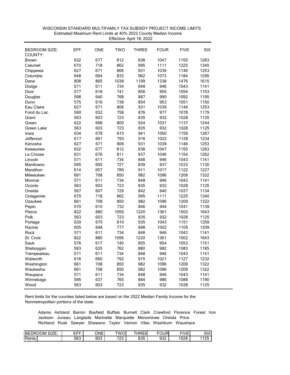| <b>BEDROOM SIZE:</b><br>COUNTY: | EFF. | <b>ONE</b> | <b>TWO</b> | <b>THREE</b> | <b>FOUR</b> | <b>FIVE</b> | <b>SIX</b> |
|---------------------------------|------|------------|------------|--------------|-------------|-------------|------------|
| <b>Brown</b>                    | 632  | 677        | 812        | 938          | 1047        | 1155        | 1263       |
| Calumet                         | 670  | 718        | 862        | 995          | 1111        | 1225        | 1340       |
|                                 | 627  | 671        | 806        | 931          | 1039        | 1146        | 1253       |
| Chippewa<br>Columbia            | 648  | 694        | 833        | 962          | 1073        | 1184        | 1295       |
| Dane                            | 808  | 865        | 1038       | 1199         | 1338        | 1476        | 1615       |
|                                 |      |            |            |              | 946         |             |            |
| Dodge                           | 571  | 611        | 734        | 848          |             | 1043        | 1141       |
| Door                            | 577  | 618        | 741        | 856          | 955         | 1054        | 1153       |
| Douglas                         | 598  | 640        | 768        | 887          | 990         | 1092        | 1195       |
| Dunn                            | 575  | 616        | 739        | 854          | 953         | 1051        | 1150       |
| Eau Claire                      | 627  | 671        | 806        | 931          | 1039        | 1146        | 1253       |
| Fond du Lac                     | 590  | 632        | 758        | 876          | 977         | 1078        | 1179       |
| Grant                           | 563  | 603        | 723        | 835          | 932         | 1028        | 1125       |
| Green                           | 622  | 666        | 800        | 924          | 1031        | 1137        | 1244       |
| Green Lake                      | 563  | 603        | 723        | 835          | 932         | 1028        | 1125       |
| lowa                            | 634  | 679        | 815        | 941          | 1050        | 1159        | 1267       |
| Jefferson                       | 617  | 661        | 793        | 916          | 1022        | 1128        | 1234       |
| Kenosha                         | 627  | 671        | 806        | 931          | 1039        | 1146        | 1253       |
| Kewaunee                        | 632  | 677        | 812        | 938          | 1047        | 1155        | 1263       |
| La Crosse                       | 631  | 676        | 811        | 937          | 1046        | 1154        | 1262       |
| Lincoln                         | 571  | 611        | 734        | 848          | 946         | 1043        | 1141       |
| Manitowoc                       | 565  | 605        | 727        | 839          | 937         | 1033        | 1130       |
| Marathon                        | 614  | 657        | 789        | 911          | 1017        | 1122        | 1227       |
| Milwaukee                       | 661  | 708        | 850        | 982          | 1096        | 1209        | 1322       |
| Monroe                          | 571  | 611        | 734        | 848          | 946         | 1043        | 1141       |
| Oconto                          | 563  | 603        | 723        | 835          | 932         | 1028        | 1125       |
| Oneida                          | 567  | 607        | 729        | 842          | 940         | 1037        | 1134       |
| Outagamie                       | 670  | 718        | 862        | 995          | 1111        | 1225        | 1340       |
| Ozaukee                         | 661  | 708        | 850        | 982          | 1096        | 1209        | 1322       |
| Pepin                           | 570  | 610        | 732        | 846          | 944         | 1041        | 1139       |
| Pierce                          | 822  | 880        | 1056       | 1220         | 1361        | 1502        | 1643       |
| Polk                            | 563  | 603        | 723        | 835          | 932         | 1028        | 1125       |
| Portage                         | 630  | 675        | 810        | 935          | 1043        | 1151        | 1259       |
| Racine                          | 605  | 648        | 777        | 898          | 1002        | 1105        | 1209       |
| Rock                            | 571  | 611        | 734        | 848          | 946         | 1043        | 1141       |
| St. Croix                       | 822  | 880        | 1056       | 1220         | 1361        | 1502        | 1643       |
| Sauk                            | 576  | 617        | 740        | 855          | 954         | 1053        | 1151       |
| Sheboygan                       | 593  | 635        | 762        | 880          | 982         | 1083        | 1185       |
| Trempealeau                     | 571  | 611        | 734        | 848          | 946         | 1043        | 1141       |
| Walworth                        | 616  | 660        | 792        | 915          | 1021        | 1127        | 1232       |
| Washington                      | 661  | 708        | 850        | 982          | 1096        | 1209        | 1322       |
| Waukesha                        | 661  | 708        | 850        | 982          | 1096        | 1209        | 1322       |
| Waupaca                         | 571  | 611        | 734        | 848          | 946         | 1043        | 1141       |
| Winnebago                       | 595  | 637        | 765        | 884          | 986         | 1088        | 1190       |
| Wood                            | 563  | 603        | 723        | 835          | 932         | 1028        | 1125       |
|                                 |      |            |            |              |             |             |            |

 WISCONSIN STANDARD MULTIFAMILY TAX SUBSIDY PROJECT INCOME LIMITS Effective April 18, 2022Estimated Maximum Rent Limits at 40% 2022 County Median Income

| SIZE:<br>BE<br>$\cap$ MC<br>м<br>۱н. | ---<br>---<br>- 1 | ONE           | TWOL                      | $- - -$<br>$-$<br>н<br>-<br>໋ | <b>-0110</b><br>ו⊢ו<br>ີ | <b>FIVF</b><br>- | $\sim$<br>л<br>◡╷          |
|--------------------------------------|-------------------|---------------|---------------------------|-------------------------------|--------------------------|------------------|----------------------------|
| Rents:                               | r o o<br>ხხპ      | $\sim$<br>ხ∪ა | $\neg \wedge \wedge$<br>∼ | nn F<br>-21-<br>ບບບ           | $\sim$<br>ວບ∠            | 1028<br>∪∠č      | $\sqrt{2}$<br>. <u>.</u> . |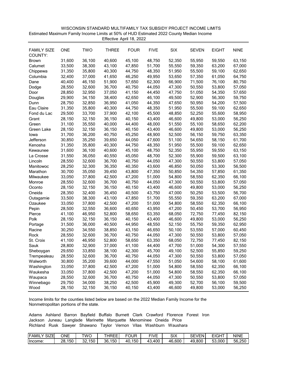| WISCONSIN STANDARD MULTIFAMILY TAX SUBSIDY PROJECT INCOME LIMITS                         |
|------------------------------------------------------------------------------------------|
| Estimated Maximum Family Income Limits at 50% of HUD Estimated 2022 County Median Income |
| Effective April 18, 2022                                                                 |

| <b>FAMILY SIZE</b><br>COUNTY: | <b>ONE</b> | <b>TWO</b> | <b>THREE</b> | <b>FOUR</b> | <b>FIVE</b> | <b>SIX</b> | <b>SEVEN</b> | <b>EIGHT</b> | <b>NINE</b> |
|-------------------------------|------------|------------|--------------|-------------|-------------|------------|--------------|--------------|-------------|
| <b>Brown</b>                  | 31,600     | 36,100     | 40,600       | 45,100      | 48,750      | 52,350     | 55,950       | 59,550       | 63,150      |
| Calumet                       | 33,500     | 38,300     | 43,100       | 47,850      | 51,700      | 55,550     | 59,350       | 63,200       | 67,000      |
| Chippewa                      | 31,350     | 35,800     | 40,300       | 44,750      | 48,350      | 51,950     | 55,500       | 59,100       | 62,650      |
| Columbia                      | 32,400     | 37,000     | 41,650       | 46,250      | 49,950      | 53,650     | 57,350       | 61,050       | 64,750      |
| Dane                          | 40,400     | 46,150     | 51,900       | 57,650      | 62,300      | 66,900     | 71,500       | 76,100       | 80,750      |
| Dodge                         | 28,550     | 32,600     | 36,700       | 40,750      | 44,050      | 47,300     | 50,550       | 53,800       | 57,050      |
| Door                          | 28,850     | 32,950     | 37,050       | 41,150      | 44,450      | 47,750     | 51,050       | 54,350       | 57,650      |
| Douglas                       | 29,900     | 34,150     | 38,400       | 42,650      | 46,100      | 49,500     | 52,900       | 56,300       | 59,750      |
| Dunn                          | 28,750     | 32,850     | 36,950       | 41,050      | 44,350      | 47,650     | 50,950       | 54,200       | 57,500      |
| Eau Claire                    | 31,350     | 35,800     | 40,300       | 44,750      | 48,350      | 51,950     | 55,500       | 59,100       | 62,650      |
| Fond du Lac                   | 29,500     | 33,700     | 37,900       | 42,100      | 45,500      | 48,850     | 52,250       | 55,600       | 58,950      |
| Grant                         | 28,150     | 32,150     | 36,150       | 40,150      | 43,400      | 46,600     | 49,800       | 53,000       | 56,250      |
| Green                         | 31,100     | 35,550     | 40,000       | 44,400      | 48,000      | 51,550     | 55,100       | 58,650       | 62,200      |
| Green Lake                    | 28,150     | 32,150     | 36,150       | 40,150      | 43,400      | 46,600     | 49,800       | 53,000       | 56,250      |
| lowa                          | 31,700     | 36,200     | 40,750       | 45,250      | 48,900      | 52,500     | 56,150       | 59,750       | 63,350      |
| Jefferson                     | 30,850     | 35,250     | 39,650       | 44,050      | 47,600      | 51,100     | 54,650       | 58,150       | 61,700      |
| Kenosha                       | 31,350     | 35,800     | 40,300       | 44,750      | 48,350      | 51,950     | 55,500       | 59,100       | 62,650      |
| Kewaunee                      | 31,600     | 36,100     | 40,600       | 45,100      | 48,750      | 52,350     | 55,950       | 59,550       | 63,150      |
| La Crosse                     | 31,550     | 36,050     | 40,550       | 45,050      | 48,700      | 52,300     | 55,900       | 59,500       | 63,100      |
| Lincoln                       | 28,550     | 32,600     | 36,700       | 40,750      | 44,050      | 47,300     | 50,550       | 53,800       | 57,050      |
| Manitowoc                     | 28,250     | 32,300     | 36,350       | 40,350      | 43,600      | 46,850     | 50,050       | 53,300       | 56,500      |
| Marathon                      | 30,700     | 35,050     | 39,450       | 43,800      | 47,350      | 50,850     | 54,350       | 57,850       | 61,350      |
| Milwaukee                     | 33,050     | 37,800     | 42,500       | 47,200      | 51,000      | 54,800     | 58,550       | 62,350       | 66,100      |
| Monroe                        | 28,550     | 32,600     | 36,700       | 40,750      | 44,050      | 47,300     | 50,550       | 53,800       | 57,050      |
| Oconto                        | 28,150     | 32,150     | 36,150       | 40,150      | 43,400      | 46,600     | 49,800       | 53,000       | 56,250      |
| Oneida                        | 28,350     | 32,400     | 36,450       | 40,500      | 43,750      | 47,000     | 50,250       | 53,500       | 56,700      |
| Outagamie                     | 33,500     | 38,300     | 43,100       | 47,850      | 51,700      | 55,550     | 59,350       | 63,200       | 67,000      |
| Ozaukee                       | 33,050     | 37,800     | 42,500       | 47,200      | 51,000      | 54,800     | 58,550       | 62,350       | 66,100      |
| Pepin                         | 28,500     | 32,550     | 36,600       | 40,650      | 43,950      | 47,200     | 50,450       | 53,700       | 56,950      |
| Pierce                        | 41,100     | 46,950     | 52,800       | 58,650      | 63,350      | 68,050     | 72,750       | 77,450       | 82,150      |
| Polk                          | 28,150     | 32,150     | 36,150       | 40,150      | 43,400      | 46,600     | 49,800       | 53,000       | 56,250      |
| Portage                       | 31,500     | 36,000     | 40,500       | 44,950      | 48,550      | 52,150     | 55,750       | 59,350       | 62,950      |
| Racine                        | 30,250     | 34,550     | 38,850       | 43,150      | 46,650      | 50,100     | 53,550       | 57,000       | 60,450      |
| Rock                          | 28,550     | 32,600     | 36,700       | 40,750      | 44,050      | 47,300     | 50,550       | 53,800       | 57,050      |
| St. Croix                     | 41,100     | 46,950     | 52,800       | 58,650      | 63,350      | 68,050     | 72,750       | 77,450       | 82,150      |
| Sauk                          | 28,800     | 32,900     | 37,000       | 41,100      | 44,400      | 47,700     | 51,000       | 54,300       | 57,550      |
| Sheboygan                     | 29,650     | 33,850     | 38,100       | 42,300      | 45,700      | 49,100     | 52,500       | 55,850       | 59,250      |
| Trempealeau                   | 28,550     | 32,600     | 36,700       | 40,750      | 44,050      | 47,300     | 50,550       | 53,800       | 57,050      |
| Walworth                      | 30,800     | 35,200     | 39,600       | 44,000      | 47,550      | 51,050     | 54,600       | 58,100       | 61,600      |
| Washington                    | 33,050     | 37,800     | 42,500       | 47,200      | 51,000      | 54,800     | 58,550       | 62,350       | 66,100      |
| Waukesha                      | 33,050     | 37,800     | 42,500       | 47,200      | 51,000      | 54,800     | 58,550       | 62,350       | 66,100      |
| Waupaca                       | 28,550     | 32,600     | 36,700       | 40,750      | 44,050      | 47,300     | 50,550       | 53,800       | 57,050      |
| Winnebago                     | 29,750     | 34,000     | 38,250       | 42,500      | 45,900      | 49,300     | 52,700       | 56,100       | 59,500      |
| Wood                          | 28,150     | 32,150     | 36,150       | 40,150      | 43,400      | 46,600     | 49,800       | 53,000       | 56,250      |

| <b>FAMIL</b><br>CIZF<br>⊐∟ט | ONE                     | TWC              | HREE      | ∓OUR      | <b>FIVF</b> | SIX    | ∩г'<br><b>SEVEN</b><br>∟ت | <b>LIOUT</b><br>⊬اف | NINE   |
|-----------------------------|-------------------------|------------------|-----------|-----------|-------------|--------|---------------------------|---------------------|--------|
| Income                      | $-$ 4 $ -$<br>28<br>50، | 150<br>ົ<br>. ےت | 150<br>36 | 150<br>40 | .400<br>−.  | 46.600 | 49.80C<br>71 U            | 53,000              | 56.250 |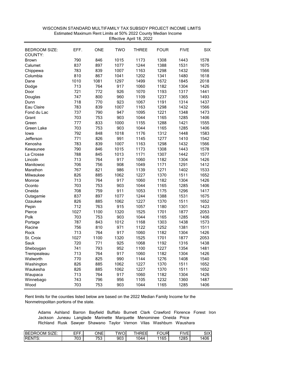| <b>BEDROOM SIZE:</b><br>EFF.<br><b>ONE</b><br>TWO<br><b>THREE</b><br><b>FOUR</b><br><b>FIVE</b><br><b>SIX</b><br>COUNTY:<br>790<br>846<br>1308<br>1443<br>1578<br>1015<br>1173<br><b>Brown</b><br>837<br>897<br>1077<br>1244<br>1388<br>1531<br>1675<br>Calumet<br>783<br>839<br>1007<br>1163<br>1298<br>1432<br>1566<br>Chippewa<br>810<br>867<br>1041<br>1202<br>1341<br>1480<br>1618<br>Columbia<br>1081<br>1672<br>1010<br>1297<br>1499<br>1845<br>2018<br>Dane<br>764<br>1182<br>713<br>917<br>1060<br>1304<br>1426<br>Dodge<br>721<br>926<br>1193<br>1441<br>772<br>1070<br>1317<br>Door<br>747<br>800<br>960<br>1109<br>1237<br>1365<br>1493<br>Douglas<br>718<br>770<br>923<br>1067<br>1191<br>1314<br>1437<br>Dunn<br>839<br>1007<br>1298<br>783<br>1163<br>1432<br>1566<br>Eau Claire<br>737<br>790<br>947<br>1095<br>1221<br>1348<br>1473<br>Fond du Lac<br>753<br>703<br>903<br>1044<br>1165<br>1285<br>1406<br>Grant<br>777<br>833<br>1000<br>1155<br>1288<br>1421<br>1555<br>Green<br>703<br>753<br>903<br>1165<br>1285<br>1406<br>Green Lake<br>1044<br>792<br>848<br>1018<br>1176<br>1312<br>1448<br>1583<br>lowa<br>771<br>826<br>991<br>1145<br>1277<br>1410<br>1542<br>Jefferson<br>839<br>1566<br>783<br>1007<br>1163<br>1298<br>1432<br>Kenosha<br>790<br>846<br>1015<br>1173<br>1308<br>1443<br>1578<br>Kewaunee<br>845<br>1171<br>1307<br>1577<br>La Crosse<br>788<br>1013<br>1442<br>713<br>764<br>917<br>1060<br>1182<br>1304<br>1426<br>Lincoln<br>706<br>756<br>908<br>1049<br>1171<br>1291<br>1412<br>Manitowoc<br>767<br>821<br>986<br>1139<br>1271<br>1402<br>1533<br>Marathon<br>885<br>826<br>1062<br>1227<br>1370<br>1511<br>1652<br>Milwaukee<br>713<br>764<br>917<br>1060<br>1182<br>1426<br>Monroe<br>1304<br>703<br>753<br>903<br>1044<br>1165<br>1285<br>1406<br>Oconto<br>708<br>759<br>911<br>1053<br>1175<br>1296<br>1417<br>Oneida<br>837<br>897<br>1077<br>1244<br>1388<br>1531<br>1675<br>Outagamie<br>826<br>885<br>1062<br>1227<br>1370<br>1511<br>1652<br>Ozaukee<br>712<br>763<br>915<br>1057<br>1180<br>1301<br>1423<br>Pepin<br>1027<br>1100<br>1320<br>1525<br>1701<br>1877<br>2053<br>Pierce<br>703<br>753<br>903<br>1044<br>1165<br>1285<br>1406<br>Polk<br>787<br>843<br>1012<br>1168<br>1303<br>1438<br>1573<br>Portage<br>756<br>810<br>971<br>1122<br>1252<br>1381<br>1511<br>Racine<br>713<br>764<br>917<br>1060<br>1182<br>1304<br>1426<br>Rock<br>1027<br>1100<br>1320<br>1525<br>1701<br>1877<br>2053<br>St. Croix<br>720<br>771<br>925<br>1068<br>1192<br>1316<br>1438<br>Sauk<br>793<br>1227<br>741<br>952<br>1100<br>1354<br>1481<br>Sheboygan<br>713<br>764<br>917<br>1060<br>1182<br>1304<br>1426<br>Trempealeau<br>825<br>770<br>990<br>1276<br>1144<br>1408<br>1540<br>Walworth<br>826<br>885<br>1062<br>1227<br>1370<br>1511<br>1652<br>Washington<br>885<br>826<br>1062<br>1227<br>1370<br>1511<br>1652<br>Waukesha<br>713<br>764<br>917<br>1182<br>1304<br>1426<br>Waupaca<br>1060<br>743<br>796<br>956<br>1105<br>1232<br>1360<br>1487<br>Winnebago<br>703<br>753<br>903<br>1044<br>1165<br>1285<br>1406<br>Wood |  |  |  |  |
|------------------------------------------------------------------------------------------------------------------------------------------------------------------------------------------------------------------------------------------------------------------------------------------------------------------------------------------------------------------------------------------------------------------------------------------------------------------------------------------------------------------------------------------------------------------------------------------------------------------------------------------------------------------------------------------------------------------------------------------------------------------------------------------------------------------------------------------------------------------------------------------------------------------------------------------------------------------------------------------------------------------------------------------------------------------------------------------------------------------------------------------------------------------------------------------------------------------------------------------------------------------------------------------------------------------------------------------------------------------------------------------------------------------------------------------------------------------------------------------------------------------------------------------------------------------------------------------------------------------------------------------------------------------------------------------------------------------------------------------------------------------------------------------------------------------------------------------------------------------------------------------------------------------------------------------------------------------------------------------------------------------------------------------------------------------------------------------------------------------------------------------------------------------------------------------------------------------------------------------------------------------------------------------------------------------------------------------------------------------------------------------------------------------------------------------------------------------------------------------------------------------------------------------------------------------------------------------------------------------------------------------------------------------------------------------------------------------------------------------------------------------------------------------------------------------------------------------------------------------------------------------------------------------------------------------------------------------------------------------------------------------------------------------------------------------------------------------|--|--|--|--|
|                                                                                                                                                                                                                                                                                                                                                                                                                                                                                                                                                                                                                                                                                                                                                                                                                                                                                                                                                                                                                                                                                                                                                                                                                                                                                                                                                                                                                                                                                                                                                                                                                                                                                                                                                                                                                                                                                                                                                                                                                                                                                                                                                                                                                                                                                                                                                                                                                                                                                                                                                                                                                                                                                                                                                                                                                                                                                                                                                                                                                                                                                          |  |  |  |  |
|                                                                                                                                                                                                                                                                                                                                                                                                                                                                                                                                                                                                                                                                                                                                                                                                                                                                                                                                                                                                                                                                                                                                                                                                                                                                                                                                                                                                                                                                                                                                                                                                                                                                                                                                                                                                                                                                                                                                                                                                                                                                                                                                                                                                                                                                                                                                                                                                                                                                                                                                                                                                                                                                                                                                                                                                                                                                                                                                                                                                                                                                                          |  |  |  |  |
|                                                                                                                                                                                                                                                                                                                                                                                                                                                                                                                                                                                                                                                                                                                                                                                                                                                                                                                                                                                                                                                                                                                                                                                                                                                                                                                                                                                                                                                                                                                                                                                                                                                                                                                                                                                                                                                                                                                                                                                                                                                                                                                                                                                                                                                                                                                                                                                                                                                                                                                                                                                                                                                                                                                                                                                                                                                                                                                                                                                                                                                                                          |  |  |  |  |
|                                                                                                                                                                                                                                                                                                                                                                                                                                                                                                                                                                                                                                                                                                                                                                                                                                                                                                                                                                                                                                                                                                                                                                                                                                                                                                                                                                                                                                                                                                                                                                                                                                                                                                                                                                                                                                                                                                                                                                                                                                                                                                                                                                                                                                                                                                                                                                                                                                                                                                                                                                                                                                                                                                                                                                                                                                                                                                                                                                                                                                                                                          |  |  |  |  |
|                                                                                                                                                                                                                                                                                                                                                                                                                                                                                                                                                                                                                                                                                                                                                                                                                                                                                                                                                                                                                                                                                                                                                                                                                                                                                                                                                                                                                                                                                                                                                                                                                                                                                                                                                                                                                                                                                                                                                                                                                                                                                                                                                                                                                                                                                                                                                                                                                                                                                                                                                                                                                                                                                                                                                                                                                                                                                                                                                                                                                                                                                          |  |  |  |  |
|                                                                                                                                                                                                                                                                                                                                                                                                                                                                                                                                                                                                                                                                                                                                                                                                                                                                                                                                                                                                                                                                                                                                                                                                                                                                                                                                                                                                                                                                                                                                                                                                                                                                                                                                                                                                                                                                                                                                                                                                                                                                                                                                                                                                                                                                                                                                                                                                                                                                                                                                                                                                                                                                                                                                                                                                                                                                                                                                                                                                                                                                                          |  |  |  |  |
|                                                                                                                                                                                                                                                                                                                                                                                                                                                                                                                                                                                                                                                                                                                                                                                                                                                                                                                                                                                                                                                                                                                                                                                                                                                                                                                                                                                                                                                                                                                                                                                                                                                                                                                                                                                                                                                                                                                                                                                                                                                                                                                                                                                                                                                                                                                                                                                                                                                                                                                                                                                                                                                                                                                                                                                                                                                                                                                                                                                                                                                                                          |  |  |  |  |
|                                                                                                                                                                                                                                                                                                                                                                                                                                                                                                                                                                                                                                                                                                                                                                                                                                                                                                                                                                                                                                                                                                                                                                                                                                                                                                                                                                                                                                                                                                                                                                                                                                                                                                                                                                                                                                                                                                                                                                                                                                                                                                                                                                                                                                                                                                                                                                                                                                                                                                                                                                                                                                                                                                                                                                                                                                                                                                                                                                                                                                                                                          |  |  |  |  |
|                                                                                                                                                                                                                                                                                                                                                                                                                                                                                                                                                                                                                                                                                                                                                                                                                                                                                                                                                                                                                                                                                                                                                                                                                                                                                                                                                                                                                                                                                                                                                                                                                                                                                                                                                                                                                                                                                                                                                                                                                                                                                                                                                                                                                                                                                                                                                                                                                                                                                                                                                                                                                                                                                                                                                                                                                                                                                                                                                                                                                                                                                          |  |  |  |  |
|                                                                                                                                                                                                                                                                                                                                                                                                                                                                                                                                                                                                                                                                                                                                                                                                                                                                                                                                                                                                                                                                                                                                                                                                                                                                                                                                                                                                                                                                                                                                                                                                                                                                                                                                                                                                                                                                                                                                                                                                                                                                                                                                                                                                                                                                                                                                                                                                                                                                                                                                                                                                                                                                                                                                                                                                                                                                                                                                                                                                                                                                                          |  |  |  |  |
|                                                                                                                                                                                                                                                                                                                                                                                                                                                                                                                                                                                                                                                                                                                                                                                                                                                                                                                                                                                                                                                                                                                                                                                                                                                                                                                                                                                                                                                                                                                                                                                                                                                                                                                                                                                                                                                                                                                                                                                                                                                                                                                                                                                                                                                                                                                                                                                                                                                                                                                                                                                                                                                                                                                                                                                                                                                                                                                                                                                                                                                                                          |  |  |  |  |
|                                                                                                                                                                                                                                                                                                                                                                                                                                                                                                                                                                                                                                                                                                                                                                                                                                                                                                                                                                                                                                                                                                                                                                                                                                                                                                                                                                                                                                                                                                                                                                                                                                                                                                                                                                                                                                                                                                                                                                                                                                                                                                                                                                                                                                                                                                                                                                                                                                                                                                                                                                                                                                                                                                                                                                                                                                                                                                                                                                                                                                                                                          |  |  |  |  |
|                                                                                                                                                                                                                                                                                                                                                                                                                                                                                                                                                                                                                                                                                                                                                                                                                                                                                                                                                                                                                                                                                                                                                                                                                                                                                                                                                                                                                                                                                                                                                                                                                                                                                                                                                                                                                                                                                                                                                                                                                                                                                                                                                                                                                                                                                                                                                                                                                                                                                                                                                                                                                                                                                                                                                                                                                                                                                                                                                                                                                                                                                          |  |  |  |  |
|                                                                                                                                                                                                                                                                                                                                                                                                                                                                                                                                                                                                                                                                                                                                                                                                                                                                                                                                                                                                                                                                                                                                                                                                                                                                                                                                                                                                                                                                                                                                                                                                                                                                                                                                                                                                                                                                                                                                                                                                                                                                                                                                                                                                                                                                                                                                                                                                                                                                                                                                                                                                                                                                                                                                                                                                                                                                                                                                                                                                                                                                                          |  |  |  |  |
|                                                                                                                                                                                                                                                                                                                                                                                                                                                                                                                                                                                                                                                                                                                                                                                                                                                                                                                                                                                                                                                                                                                                                                                                                                                                                                                                                                                                                                                                                                                                                                                                                                                                                                                                                                                                                                                                                                                                                                                                                                                                                                                                                                                                                                                                                                                                                                                                                                                                                                                                                                                                                                                                                                                                                                                                                                                                                                                                                                                                                                                                                          |  |  |  |  |
|                                                                                                                                                                                                                                                                                                                                                                                                                                                                                                                                                                                                                                                                                                                                                                                                                                                                                                                                                                                                                                                                                                                                                                                                                                                                                                                                                                                                                                                                                                                                                                                                                                                                                                                                                                                                                                                                                                                                                                                                                                                                                                                                                                                                                                                                                                                                                                                                                                                                                                                                                                                                                                                                                                                                                                                                                                                                                                                                                                                                                                                                                          |  |  |  |  |
|                                                                                                                                                                                                                                                                                                                                                                                                                                                                                                                                                                                                                                                                                                                                                                                                                                                                                                                                                                                                                                                                                                                                                                                                                                                                                                                                                                                                                                                                                                                                                                                                                                                                                                                                                                                                                                                                                                                                                                                                                                                                                                                                                                                                                                                                                                                                                                                                                                                                                                                                                                                                                                                                                                                                                                                                                                                                                                                                                                                                                                                                                          |  |  |  |  |
|                                                                                                                                                                                                                                                                                                                                                                                                                                                                                                                                                                                                                                                                                                                                                                                                                                                                                                                                                                                                                                                                                                                                                                                                                                                                                                                                                                                                                                                                                                                                                                                                                                                                                                                                                                                                                                                                                                                                                                                                                                                                                                                                                                                                                                                                                                                                                                                                                                                                                                                                                                                                                                                                                                                                                                                                                                                                                                                                                                                                                                                                                          |  |  |  |  |
|                                                                                                                                                                                                                                                                                                                                                                                                                                                                                                                                                                                                                                                                                                                                                                                                                                                                                                                                                                                                                                                                                                                                                                                                                                                                                                                                                                                                                                                                                                                                                                                                                                                                                                                                                                                                                                                                                                                                                                                                                                                                                                                                                                                                                                                                                                                                                                                                                                                                                                                                                                                                                                                                                                                                                                                                                                                                                                                                                                                                                                                                                          |  |  |  |  |
|                                                                                                                                                                                                                                                                                                                                                                                                                                                                                                                                                                                                                                                                                                                                                                                                                                                                                                                                                                                                                                                                                                                                                                                                                                                                                                                                                                                                                                                                                                                                                                                                                                                                                                                                                                                                                                                                                                                                                                                                                                                                                                                                                                                                                                                                                                                                                                                                                                                                                                                                                                                                                                                                                                                                                                                                                                                                                                                                                                                                                                                                                          |  |  |  |  |
|                                                                                                                                                                                                                                                                                                                                                                                                                                                                                                                                                                                                                                                                                                                                                                                                                                                                                                                                                                                                                                                                                                                                                                                                                                                                                                                                                                                                                                                                                                                                                                                                                                                                                                                                                                                                                                                                                                                                                                                                                                                                                                                                                                                                                                                                                                                                                                                                                                                                                                                                                                                                                                                                                                                                                                                                                                                                                                                                                                                                                                                                                          |  |  |  |  |
|                                                                                                                                                                                                                                                                                                                                                                                                                                                                                                                                                                                                                                                                                                                                                                                                                                                                                                                                                                                                                                                                                                                                                                                                                                                                                                                                                                                                                                                                                                                                                                                                                                                                                                                                                                                                                                                                                                                                                                                                                                                                                                                                                                                                                                                                                                                                                                                                                                                                                                                                                                                                                                                                                                                                                                                                                                                                                                                                                                                                                                                                                          |  |  |  |  |
|                                                                                                                                                                                                                                                                                                                                                                                                                                                                                                                                                                                                                                                                                                                                                                                                                                                                                                                                                                                                                                                                                                                                                                                                                                                                                                                                                                                                                                                                                                                                                                                                                                                                                                                                                                                                                                                                                                                                                                                                                                                                                                                                                                                                                                                                                                                                                                                                                                                                                                                                                                                                                                                                                                                                                                                                                                                                                                                                                                                                                                                                                          |  |  |  |  |
|                                                                                                                                                                                                                                                                                                                                                                                                                                                                                                                                                                                                                                                                                                                                                                                                                                                                                                                                                                                                                                                                                                                                                                                                                                                                                                                                                                                                                                                                                                                                                                                                                                                                                                                                                                                                                                                                                                                                                                                                                                                                                                                                                                                                                                                                                                                                                                                                                                                                                                                                                                                                                                                                                                                                                                                                                                                                                                                                                                                                                                                                                          |  |  |  |  |
|                                                                                                                                                                                                                                                                                                                                                                                                                                                                                                                                                                                                                                                                                                                                                                                                                                                                                                                                                                                                                                                                                                                                                                                                                                                                                                                                                                                                                                                                                                                                                                                                                                                                                                                                                                                                                                                                                                                                                                                                                                                                                                                                                                                                                                                                                                                                                                                                                                                                                                                                                                                                                                                                                                                                                                                                                                                                                                                                                                                                                                                                                          |  |  |  |  |
|                                                                                                                                                                                                                                                                                                                                                                                                                                                                                                                                                                                                                                                                                                                                                                                                                                                                                                                                                                                                                                                                                                                                                                                                                                                                                                                                                                                                                                                                                                                                                                                                                                                                                                                                                                                                                                                                                                                                                                                                                                                                                                                                                                                                                                                                                                                                                                                                                                                                                                                                                                                                                                                                                                                                                                                                                                                                                                                                                                                                                                                                                          |  |  |  |  |
|                                                                                                                                                                                                                                                                                                                                                                                                                                                                                                                                                                                                                                                                                                                                                                                                                                                                                                                                                                                                                                                                                                                                                                                                                                                                                                                                                                                                                                                                                                                                                                                                                                                                                                                                                                                                                                                                                                                                                                                                                                                                                                                                                                                                                                                                                                                                                                                                                                                                                                                                                                                                                                                                                                                                                                                                                                                                                                                                                                                                                                                                                          |  |  |  |  |
|                                                                                                                                                                                                                                                                                                                                                                                                                                                                                                                                                                                                                                                                                                                                                                                                                                                                                                                                                                                                                                                                                                                                                                                                                                                                                                                                                                                                                                                                                                                                                                                                                                                                                                                                                                                                                                                                                                                                                                                                                                                                                                                                                                                                                                                                                                                                                                                                                                                                                                                                                                                                                                                                                                                                                                                                                                                                                                                                                                                                                                                                                          |  |  |  |  |
|                                                                                                                                                                                                                                                                                                                                                                                                                                                                                                                                                                                                                                                                                                                                                                                                                                                                                                                                                                                                                                                                                                                                                                                                                                                                                                                                                                                                                                                                                                                                                                                                                                                                                                                                                                                                                                                                                                                                                                                                                                                                                                                                                                                                                                                                                                                                                                                                                                                                                                                                                                                                                                                                                                                                                                                                                                                                                                                                                                                                                                                                                          |  |  |  |  |
|                                                                                                                                                                                                                                                                                                                                                                                                                                                                                                                                                                                                                                                                                                                                                                                                                                                                                                                                                                                                                                                                                                                                                                                                                                                                                                                                                                                                                                                                                                                                                                                                                                                                                                                                                                                                                                                                                                                                                                                                                                                                                                                                                                                                                                                                                                                                                                                                                                                                                                                                                                                                                                                                                                                                                                                                                                                                                                                                                                                                                                                                                          |  |  |  |  |
|                                                                                                                                                                                                                                                                                                                                                                                                                                                                                                                                                                                                                                                                                                                                                                                                                                                                                                                                                                                                                                                                                                                                                                                                                                                                                                                                                                                                                                                                                                                                                                                                                                                                                                                                                                                                                                                                                                                                                                                                                                                                                                                                                                                                                                                                                                                                                                                                                                                                                                                                                                                                                                                                                                                                                                                                                                                                                                                                                                                                                                                                                          |  |  |  |  |
|                                                                                                                                                                                                                                                                                                                                                                                                                                                                                                                                                                                                                                                                                                                                                                                                                                                                                                                                                                                                                                                                                                                                                                                                                                                                                                                                                                                                                                                                                                                                                                                                                                                                                                                                                                                                                                                                                                                                                                                                                                                                                                                                                                                                                                                                                                                                                                                                                                                                                                                                                                                                                                                                                                                                                                                                                                                                                                                                                                                                                                                                                          |  |  |  |  |
|                                                                                                                                                                                                                                                                                                                                                                                                                                                                                                                                                                                                                                                                                                                                                                                                                                                                                                                                                                                                                                                                                                                                                                                                                                                                                                                                                                                                                                                                                                                                                                                                                                                                                                                                                                                                                                                                                                                                                                                                                                                                                                                                                                                                                                                                                                                                                                                                                                                                                                                                                                                                                                                                                                                                                                                                                                                                                                                                                                                                                                                                                          |  |  |  |  |
|                                                                                                                                                                                                                                                                                                                                                                                                                                                                                                                                                                                                                                                                                                                                                                                                                                                                                                                                                                                                                                                                                                                                                                                                                                                                                                                                                                                                                                                                                                                                                                                                                                                                                                                                                                                                                                                                                                                                                                                                                                                                                                                                                                                                                                                                                                                                                                                                                                                                                                                                                                                                                                                                                                                                                                                                                                                                                                                                                                                                                                                                                          |  |  |  |  |
|                                                                                                                                                                                                                                                                                                                                                                                                                                                                                                                                                                                                                                                                                                                                                                                                                                                                                                                                                                                                                                                                                                                                                                                                                                                                                                                                                                                                                                                                                                                                                                                                                                                                                                                                                                                                                                                                                                                                                                                                                                                                                                                                                                                                                                                                                                                                                                                                                                                                                                                                                                                                                                                                                                                                                                                                                                                                                                                                                                                                                                                                                          |  |  |  |  |
|                                                                                                                                                                                                                                                                                                                                                                                                                                                                                                                                                                                                                                                                                                                                                                                                                                                                                                                                                                                                                                                                                                                                                                                                                                                                                                                                                                                                                                                                                                                                                                                                                                                                                                                                                                                                                                                                                                                                                                                                                                                                                                                                                                                                                                                                                                                                                                                                                                                                                                                                                                                                                                                                                                                                                                                                                                                                                                                                                                                                                                                                                          |  |  |  |  |
|                                                                                                                                                                                                                                                                                                                                                                                                                                                                                                                                                                                                                                                                                                                                                                                                                                                                                                                                                                                                                                                                                                                                                                                                                                                                                                                                                                                                                                                                                                                                                                                                                                                                                                                                                                                                                                                                                                                                                                                                                                                                                                                                                                                                                                                                                                                                                                                                                                                                                                                                                                                                                                                                                                                                                                                                                                                                                                                                                                                                                                                                                          |  |  |  |  |
|                                                                                                                                                                                                                                                                                                                                                                                                                                                                                                                                                                                                                                                                                                                                                                                                                                                                                                                                                                                                                                                                                                                                                                                                                                                                                                                                                                                                                                                                                                                                                                                                                                                                                                                                                                                                                                                                                                                                                                                                                                                                                                                                                                                                                                                                                                                                                                                                                                                                                                                                                                                                                                                                                                                                                                                                                                                                                                                                                                                                                                                                                          |  |  |  |  |
|                                                                                                                                                                                                                                                                                                                                                                                                                                                                                                                                                                                                                                                                                                                                                                                                                                                                                                                                                                                                                                                                                                                                                                                                                                                                                                                                                                                                                                                                                                                                                                                                                                                                                                                                                                                                                                                                                                                                                                                                                                                                                                                                                                                                                                                                                                                                                                                                                                                                                                                                                                                                                                                                                                                                                                                                                                                                                                                                                                                                                                                                                          |  |  |  |  |
|                                                                                                                                                                                                                                                                                                                                                                                                                                                                                                                                                                                                                                                                                                                                                                                                                                                                                                                                                                                                                                                                                                                                                                                                                                                                                                                                                                                                                                                                                                                                                                                                                                                                                                                                                                                                                                                                                                                                                                                                                                                                                                                                                                                                                                                                                                                                                                                                                                                                                                                                                                                                                                                                                                                                                                                                                                                                                                                                                                                                                                                                                          |  |  |  |  |
|                                                                                                                                                                                                                                                                                                                                                                                                                                                                                                                                                                                                                                                                                                                                                                                                                                                                                                                                                                                                                                                                                                                                                                                                                                                                                                                                                                                                                                                                                                                                                                                                                                                                                                                                                                                                                                                                                                                                                                                                                                                                                                                                                                                                                                                                                                                                                                                                                                                                                                                                                                                                                                                                                                                                                                                                                                                                                                                                                                                                                                                                                          |  |  |  |  |
|                                                                                                                                                                                                                                                                                                                                                                                                                                                                                                                                                                                                                                                                                                                                                                                                                                                                                                                                                                                                                                                                                                                                                                                                                                                                                                                                                                                                                                                                                                                                                                                                                                                                                                                                                                                                                                                                                                                                                                                                                                                                                                                                                                                                                                                                                                                                                                                                                                                                                                                                                                                                                                                                                                                                                                                                                                                                                                                                                                                                                                                                                          |  |  |  |  |
|                                                                                                                                                                                                                                                                                                                                                                                                                                                                                                                                                                                                                                                                                                                                                                                                                                                                                                                                                                                                                                                                                                                                                                                                                                                                                                                                                                                                                                                                                                                                                                                                                                                                                                                                                                                                                                                                                                                                                                                                                                                                                                                                                                                                                                                                                                                                                                                                                                                                                                                                                                                                                                                                                                                                                                                                                                                                                                                                                                                                                                                                                          |  |  |  |  |
|                                                                                                                                                                                                                                                                                                                                                                                                                                                                                                                                                                                                                                                                                                                                                                                                                                                                                                                                                                                                                                                                                                                                                                                                                                                                                                                                                                                                                                                                                                                                                                                                                                                                                                                                                                                                                                                                                                                                                                                                                                                                                                                                                                                                                                                                                                                                                                                                                                                                                                                                                                                                                                                                                                                                                                                                                                                                                                                                                                                                                                                                                          |  |  |  |  |
|                                                                                                                                                                                                                                                                                                                                                                                                                                                                                                                                                                                                                                                                                                                                                                                                                                                                                                                                                                                                                                                                                                                                                                                                                                                                                                                                                                                                                                                                                                                                                                                                                                                                                                                                                                                                                                                                                                                                                                                                                                                                                                                                                                                                                                                                                                                                                                                                                                                                                                                                                                                                                                                                                                                                                                                                                                                                                                                                                                                                                                                                                          |  |  |  |  |

 WISCONSIN STANDARD MULTIFAMILY TAX SUBSIDY PROJECT INCOME LIMITS Effective April 18, 2022Estimated Maximum Rent Limits at 50% 2022 County Median Income

| <b>BED</b><br>ヨフロー<br>SIZE:<br>)RC<br>жı<br>м | ---<br>---<br>- 1 | ONE                    | TWOL | $- - -$<br>$-1$<br>படப<br>ــ<br>-<br>◝ | $\sim$<br>'H<br>◡ | $\sqrt{2}$<br>$-1$<br>·l∨⊢<br>. .<br>- | <b>OIV</b><br>∧וכ |
|-----------------------------------------------|-------------------|------------------------|------|----------------------------------------|-------------------|----------------------------------------|-------------------|
| <b>REN</b><br>$-2$<br>J.                      | מ∩ד<br>υJ         | 750 <sup>-</sup><br>ບບ | 903  | 044                                    | 65                | 1285                                   | 406               |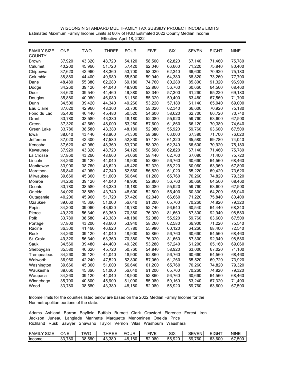| WISCONSIN STANDARD MULTIFAMILY TAX SUBSIDY PROJECT INCOME LIMITS                         |
|------------------------------------------------------------------------------------------|
| Estimated Maximum Family Income Limits at 60% of HUD Estimated 2022 County Median Income |
| Effective April 18, 2022                                                                 |

| FAMILY SIZE  | <b>ONE</b> | <b>TWO</b>       | <b>THREE</b> | <b>FOUR</b> | <b>FIVE</b>      | <b>SIX</b>       | <b>SEVEN</b>     | EIGHT  | <b>NINE</b>      |
|--------------|------------|------------------|--------------|-------------|------------------|------------------|------------------|--------|------------------|
| COUNTY:      | 37,920     | 43,320           | 48,720       |             | 58,500           | 62,820           |                  | 71,460 |                  |
| <b>Brown</b> |            | 45,960           | 51,720       | 54,120      | 62,040           | 66,660           | 67,140<br>71,220 | 75,840 | 75,780<br>80,400 |
| Calumet      | 40,200     | 42,960           | 48,360       | 57,420      | 58,020           | 62,340           |                  | 70,920 | 75,180           |
| Chippewa     | 37,620     |                  |              | 53,700      |                  |                  | 66,600           | 73,260 |                  |
| Columbia     | 38,880     | 44,400<br>55,380 | 49,980       | 55,500      | 59,940<br>74,760 | 64,380<br>80,280 | 68,820           | 91,320 | 77,700<br>96,900 |
| Dane         | 48,480     |                  | 62,280       | 69,180      |                  |                  | 85,800           |        |                  |
| Dodge        | 34,260     | 39,120           | 44,040       | 48,900      | 52,860           | 56,760           | 60,660           | 64,560 | 68,460           |
| Door         | 34,620     | 39,540           | 44,460       | 49,380      | 53,340           | 57,300           | 61,260           | 65,220 | 69,180           |
| Douglas      | 35,880     | 40,980           | 46,080       | 51,180      | 55,320           | 59,400           | 63,480           | 67,560 | 71,700           |
| Dunn         | 34,500     | 39,420           | 44,340       | 49,260      | 53,220           | 57,180           | 61,140           | 65,040 | 69,000           |
| Eau Claire   | 37,620     | 42,960           | 48,360       | 53,700      | 58,020           | 62,340           | 66,600           | 70,920 | 75,180           |
| Fond du Lac  | 35,400     | 40,440           | 45,480       | 50,520      | 54,600           | 58,620           | 62,700           | 66,720 | 70,740           |
| Grant        | 33,780     | 38,580           | 43,380       | 48,180      | 52,080           | 55,920           | 59,760           | 63,600 | 67,500           |
| Green        | 37,320     | 42,660           | 48,000       | 53,280      | 57,600           | 61,860           | 66,120           | 70,380 | 74,640           |
| Green Lake   | 33,780     | 38,580           | 43,380       | 48,180      | 52,080           | 55,920           | 59,760           | 63,600 | 67,500           |
| lowa         | 38,040     | 43,440           | 48,900       | 54,300      | 58,680           | 63,000           | 67,380           | 71,700 | 76,020           |
| Jefferson    | 37,020     | 42,300           | 47,580       | 52,860      | 57,120           | 61,320           | 65,580           | 69,780 | 74,040           |
| Kenosha      | 37,620     | 42,960           | 48,360       | 53,700      | 58,020           | 62,340           | 66,600           | 70,920 | 75,180           |
| Kewaunee     | 37,920     | 43,320           | 48,720       | 54,120      | 58,500           | 62,820           | 67,140           | 71,460 | 75,780           |
| La Crosse    | 37,860     | 43,260           | 48,660       | 54,060      | 58,440           | 62,760           | 67,080           | 71,400 | 75,720           |
| Lincoln      | 34,260     | 39,120           | 44,040       | 48,900      | 52,860           | 56,760           | 60,660           | 64,560 | 68,460           |
| Manitowoc    | 33,900     | 38,760           | 43,620       | 48,420      | 52,320           | 56,220           | 60,060           | 63,960 | 67,800           |
| Marathon     | 36,840     | 42,060           | 47,340       | 52,560      | 56,820           | 61,020           | 65,220           | 69,420 | 73,620           |
| Milwaukee    | 39,660     | 45,360           | 51,000       | 56,640      | 61,200           | 65,760           | 70,260           | 74,820 | 79,320           |
| Monroe       | 34,260     | 39,120           | 44,040       | 48,900      | 52,860           | 56,760           | 60,660           | 64,560 | 68,460           |
| Oconto       | 33,780     | 38,580           | 43,380       | 48,180      | 52,080           | 55,920           | 59,760           | 63,600 | 67,500           |
| Oneida       | 34,020     | 38,880           | 43,740       | 48,600      | 52,500           | 56,400           | 60,300           | 64,200 | 68,040           |
| Outagamie    | 40,200     | 45,960           | 51,720       | 57,420      | 62,040           | 66,660           | 71,220           | 75,840 | 80,400           |
| Ozaukee      | 39,660     | 45,360           | 51,000       | 56,640      | 61,200           | 65,760           | 70,260           | 74,820 | 79,320           |
| Pepin        | 34,200     | 39,060           | 43,920       | 48,780      | 52,740           | 56,640           | 60,540           | 64,440 | 68,340           |
| Pierce       | 49,320     | 56,340           | 63,360       | 70,380      | 76,020           | 81,660           | 87,300           | 92,940 | 98,580           |
| Polk         | 33,780     | 38,580           | 43,380       | 48,180      | 52,080           | 55,920           | 59,760           | 63,600 | 67,500           |
| Portage      | 37,800     | 43,200           | 48,600       | 53,940      | 58,260           | 62,580           | 66,900           | 71,220 | 75,540           |
| Racine       | 36,300     | 41,460           | 46,620       | 51,780      | 55,980           | 60,120           | 64,260           | 68,400 | 72,540           |
| Rock         | 34,260     | 39,120           | 44,040       | 48,900      | 52,860           | 56,760           | 60,660           | 64,560 | 68,460           |
| St. Croix    | 49,320     | 56,340           | 63,360       | 70,380      | 76,020           | 81,660           | 87,300           | 92,940 | 98,580           |
| Sauk         | 34,560     | 39,480           | 44,400       | 49,320      | 53,280           | 57,240           | 61,200           | 65,160 | 69,060           |
| Sheboygan    | 35,580     | 40,620           | 45,720       | 50,760      | 54,840           | 58,920           | 63,000           | 67,020 | 71,100           |
| Trempealeau  | 34,260     | 39,120           | 44,040       | 48,900      | 52,860           | 56,760           | 60,660           | 64,560 | 68,460           |
| Walworth     | 36,960     | 42,240           | 47,520       | 52,800      | 57,060           | 61,260           | 65,520           | 69,720 | 73,920           |
| Washington   | 39,660     | 45,360           | 51,000       | 56,640      | 61,200           | 65,760           | 70,260           | 74,820 | 79,320           |
| Waukesha     | 39,660     | 45,360           | 51,000       | 56,640      | 61,200           | 65,760           | 70,260           | 74,820 | 79,320           |
| Waupaca      | 34,260     | 39,120           | 44,040       | 48,900      | 52,860           | 56,760           | 60,660           | 64,560 | 68,460           |
| Winnebago    | 35,700     | 40,800           | 45,900       | 51,000      | 55,080           | 59,160           | 63,240           | 67,320 | 71,400           |
| Wood         | 33,780     | 38,580           | 43,380       | 48,180      | 52,080           | 55,920           | 59,760           | 63,600 | 67,500           |

| <b>IFAMIL</b><br>SIZE | ONE            | TWC              | $- - -$<br>--<br>◡⊢<br>៶∟ | FOUR      | r n<br>$\sqrt{2}$<br>$-1V$ .<br>ــ | SIX              | <b>CEV</b><br>VFN<br>5⊏ | <b>CIOUT</b><br>--<br>$\bf{u}$ | <b>NINE</b>           |
|-----------------------|----------------|------------------|---------------------------|-----------|------------------------------------|------------------|-------------------------|--------------------------------|-----------------------|
| Income:               | 780<br>ົ<br>ັບ | .580<br>າດ<br>აბ | 43,380                    | 180<br>48 | 52.080                             | .920<br>--<br>ხხ | 59<br>.760              | 600<br>c٥<br>ხა                | .500<br>$\sim$<br>o / |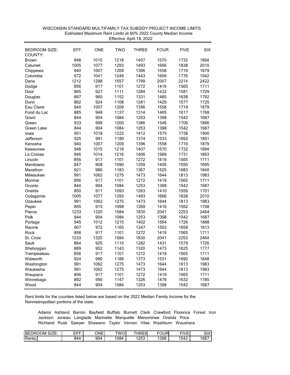| <b>BEDROOM SIZE:</b><br>COUNTY: | EFF. | <b>ONE</b> | <b>TWO</b> | <b>THREE</b> | <b>FOUR</b> | <b>FIVE</b>  | <b>SIX</b> |
|---------------------------------|------|------------|------------|--------------|-------------|--------------|------------|
| <b>Brown</b>                    | 948  | 1015       | 1218       | 1407         | 1570        | 1732         | 1894       |
| Calumet                         | 1005 | 1077       | 1293       | 1493         | 1666        | 1838         | 2010       |
| Chippewa                        | 940  | 1007       | 1209       | 1396         | 1558        | 1719         | 1879       |
| Columbia                        | 972  | 1041       | 1249       | 1443         | 1609        | 1776         | 1942       |
| Dane                            | 1212 | 1298       | 1557       | 1799         | 2007        | 2214         | 2422       |
| Dodge                           | 856  | 917        | 1101       | 1272         | 1419        | 1565         | 1711       |
| Door                            | 865  | 927        | 1111       | 1284         | 1432        | 1581         | 1729       |
| Douglas                         | 897  | 960        | 1152       | 1331         | 1485        | 1638         | 1792       |
| Dunn                            | 862  | 924        | 1108       | 1281         | 1429        | 1577         | 1725       |
| Eau Claire                      | 940  | 1007       | 1209       | 1396         | 1558        | 1719         | 1879       |
| Fond du Lac                     | 885  | 948        | 1137       | 1314         | 1465        | 1617         | 1768       |
| Grant                           | 844  | 904        | 1084       | 1253         | 1398        | 1542         | 1687       |
| Green                           | 933  | 999        | 1200       | 1386         | 1546        | 1706         | 1866       |
| Green Lake                      | 844  | 904        | 1084       | 1253         | 1398        | 1542         | 1687       |
| lowa                            | 951  | 1018       | 1222       | 1412         | 1575        | 1738         | 1900       |
| Jefferson                       | 925  | 991        | 1189       | 1374         | 1533        | 1692         | 1851       |
| Kenosha                         | 940  | 1007       | 1209       | 1396         | 1558        | 1719         | 1879       |
| Kewaunee                        | 948  | 1015       | 1218       | 1407         | 1570        | 1732         | 1894       |
| La Crosse                       | 946  | 1014       | 1216       | 1406         | 1569        | 1731         | 1893       |
| Lincoln                         | 856  | 917        | 1101       | 1272         | 1419        | 1565         | 1711       |
| Manitowoc                       | 847  | 908        | 1090       | 1259         | 1405        | 1550         | 1695       |
| Marathon                        | 921  | 986        | 1183       | 1367         | 1525        | 1683         | 1840       |
| Milwaukee                       | 991  | 1062       | 1275       | 1473         | 1644        | 1813         | 1983       |
| Monroe                          | 856  | 917        | 1101       | 1272         | 1419        | 1565         | 1711       |
| Oconto                          | 844  | 904        | 1084       | 1253         | 1398        | 1542         | 1687       |
| Oneida                          | 850  | 911        | 1093       | 1263         | 1410        | 1556         | 1701       |
|                                 | 1005 | 1077       | 1293       | 1493         | 1666        | 1838         | 2010       |
| Outagamie<br>Ozaukee            | 991  | 1062       | 1275       | 1473         | 1644        | 1813         | 1983       |
| Pepin                           | 855  | 915        | 1098       | 1269         | 1416        | 1562         | 1708       |
| Pierce                          | 1233 | 1320       | 1584       | 1830         | 2041        | 2253         | 2464       |
| Polk                            | 844  | 904        | 1084       | 1253         | 1398        | 1542         | 1687       |
| Portage                         | 945  | 1012       | 1215       | 1402         | 1564        | 1726         | 1888       |
| Racine                          | 907  | 972        | 1165       | 1347         | 1503        | 1658         | 1813       |
| Rock                            | 856  | 917        | 1101       | 1272         | 1419        | 1565         | 1711       |
| St. Croix                       | 1233 | 1320       | 1584       | 1830         | 2041        | 2253         | 2464       |
| Sauk                            | 864  | 925        | 1110       | 1282         | 1431        | 1579         | 1726       |
| Sheboygan                       | 889  | 952        | 1143       | 1320         | 1473        | 1625         | 1777       |
| Trempealeau                     | 856  | 917        | 1101       | 1272         | 1419        | 1565         | 1711       |
| Walworth                        | 924  | 990        | 1188       | 1373         | 1531        | 1690         | 1848       |
|                                 | 991  | 1062       | 1275       | 1473         | 1644        | 1813         | 1983       |
| Washington<br>Waukesha          | 991  | 1062       | 1275       | 1473         | 1644        |              | 1983       |
|                                 | 856  | 917        | 1101       | 1272         | 1419        | 1813<br>1565 | 1711       |
| Waupaca                         | 892  | 956        | 1147       |              | 1479        | 1632         | 1785       |
| Winnebago                       | 844  | 904        | 1084       | 1326<br>1253 |             |              |            |
| Wood                            |      |            |            |              | 1398        | 1542         | 1687       |

## WISCONSIN STANDARD MULTIFAMILY TAX SUBSIDY PROJECT INCOME LIMITS Effective April 18, 2022Estimated Maximum Rent Limits at 60% 2022 County Median Income

Rent limits for the counties listed below are based on the 2022 Median Family Income for the Nonmetropolitan portions of the state.

| <b>BE</b><br>SIZE:<br>ОM<br>м<br><b>IKI</b> | ---<br>---<br>-- | ONE | TWO<br>.OL | $I\Gamma I$<br>-<br>н<br>--<br>◟ | $F^{\wedge}$<br>או<br>ັ | <b>FIVE</b> | <b>OIV</b><br>∧וט |
|---------------------------------------------|------------------|-----|------------|----------------------------------|-------------------------|-------------|-------------------|
| Rents:                                      | 844              | 904 | 1084       | ר הרו<br>້                       | 398                     | 1542        | 1687              |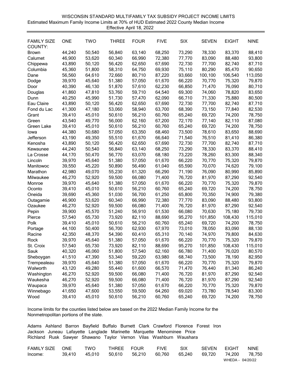| Estimated Maximum Family Income Limits at 70% of HUD Estimated 2022 County Median Income<br>Effective April 18, 2022 |            |            |              |             |             |            |              |              |             |  |  |  |
|----------------------------------------------------------------------------------------------------------------------|------------|------------|--------------|-------------|-------------|------------|--------------|--------------|-------------|--|--|--|
| <b>FAMILY SIZE</b>                                                                                                   | <b>ONE</b> | <b>TWO</b> | <b>THREE</b> | <b>FOUR</b> | <b>FIVE</b> | <b>SIX</b> | <b>SEVEN</b> | <b>EIGHT</b> | <b>NINE</b> |  |  |  |
| COUNTY:                                                                                                              |            |            |              |             |             |            |              |              |             |  |  |  |
| <b>Brown</b>                                                                                                         | 44,240     | 50,540     | 56,840       | 63,140      | 68,250      | 73,290     | 78,330       | 83,370       | 88,410      |  |  |  |
| Calumet                                                                                                              | 46,900     | 53,620     | 60,340       | 66,990      | 72,380      | 77,770     | 83,090       | 88,480       | 93,800      |  |  |  |
| Chippewa                                                                                                             | 43,890     | 50,120     | 56,420       | 62,650      | 67,690      | 72,730     | 77,700       | 82,740       | 87,710      |  |  |  |
| Columbia                                                                                                             | 45,360     | 51,800     | 58,310       | 64,750      | 69,930      | 75,110     | 80,290       | 85,470       | 90,650      |  |  |  |
| Dane                                                                                                                 | 56,560     | 64,610     | 72,660       | 80,710      | 87,220      | 93,660     | 100,100      | 106,540      | 113,050     |  |  |  |
| Dodge                                                                                                                | 39,970     | 45,640     | 51,380       | 57,050      | 61,670      | 66,220     | 70,770       | 75,320       | 79,870      |  |  |  |
| Door                                                                                                                 | 40,390     | 46,130     | 51,870       | 57,610      | 62,230      | 66,850     | 71,470       | 76,090       | 80,710      |  |  |  |
| Douglas                                                                                                              | 41,860     | 47,810     | 53,760       | 59,710      | 64,540      | 69,300     | 74,060       | 78,820       | 83,650      |  |  |  |
| Dunn                                                                                                                 | 40,250     | 45,990     | 51,730       | 57,470      | 62,090      | 66,710     | 71,330       | 75,880       | 80,500      |  |  |  |
| Eau Claire                                                                                                           | 43,890     | 50,120     | 56,420       | 62,650      | 67,690      | 72,730     | 77,700       | 82,740       | 87,710      |  |  |  |
| Fond du Lac                                                                                                          | 41,300     | 47,180     | 53,060       | 58,940      | 63,700      | 68,390     | 73,150       | 77,840       | 82,530      |  |  |  |
| Grant                                                                                                                | 39,410     | 45,010     | 50,610       | 56,210      | 60,760      | 65,240     | 69,720       | 74,200       | 78,750      |  |  |  |
| Green                                                                                                                | 43,540     | 49,770     | 56,000       | 62,160      | 67,200      | 72,170     | 77,140       | 82,110       | 87,080      |  |  |  |
| Green Lake                                                                                                           | 39,410     | 45,010     | 50,610       | 56,210      | 60,760      | 65,240     | 69,720       | 74,200       | 78,750      |  |  |  |
| lowa                                                                                                                 | 44,380     | 50,680     | 57,050       | 63,350      | 68,460      | 73,500     | 78,610       | 83,650       | 88,690      |  |  |  |
| Jefferson                                                                                                            | 43,190     | 49,350     | 55,510       | 61,670      | 66,640      | 71,540     | 76,510       | 81,410       | 86,380      |  |  |  |
| Kenosha                                                                                                              | 43,890     | 50,120     | 56,420       | 62,650      | 67,690      | 72,730     | 77,700       | 82,740       | 87,710      |  |  |  |
| Kewaunee                                                                                                             | 44,240     | 50,540     | 56,840       | 63,140      | 68,250      | 73,290     | 78,330       | 83,370       | 88,410      |  |  |  |
| La Crosse                                                                                                            | 44,170     | 50,470     | 56,770       | 63,070      | 68,180      | 73,220     | 78,260       | 83,300       | 88,340      |  |  |  |
| Lincoln                                                                                                              | 39,970     | 45,640     | 51,380       | 57,050      | 61,670      | 66,220     | 70,770       | 75,320       | 79,870      |  |  |  |
| Manitowoc                                                                                                            | 39,550     | 45,220     | 50,890       | 56,490      | 61,040      | 65,590     | 70,070       | 74,620       | 79,100      |  |  |  |
| Marathon                                                                                                             | 42,980     | 49,070     | 55,230       | 61,320      | 66,290      | 71,190     | 76,090       | 80,990       | 85,890      |  |  |  |
| Milwaukee                                                                                                            | 46,270     | 52,920     | 59,500       | 66,080      | 71,400      | 76,720     | 81,970       | 87,290       | 92,540      |  |  |  |
| Monroe                                                                                                               | 39,970     | 45,640     | 51,380       | 57,050      | 61,670      | 66,220     | 70,770       | 75,320       | 79,870      |  |  |  |
| Oconto                                                                                                               | 39,410     | 45,010     | 50,610       | 56,210      | 60,760      | 65,240     | 69,720       | 74,200       | 78,750      |  |  |  |
| Oneida                                                                                                               | 39,690     | 45,360     | 51,030       | 56,700      | 61,250      | 65,800     | 70,350       | 74,900       | 79,380      |  |  |  |
| Outagamie                                                                                                            | 46,900     | 53,620     | 60,340       | 66,990      | 72,380      | 77,770     | 83,090       | 88,480       | 93,800      |  |  |  |
| Ozaukee                                                                                                              | 46,270     | 52,920     | 59,500       | 66,080      | 71,400      | 76,720     | 81,970       | 87,290       | 92,540      |  |  |  |
| Pepin                                                                                                                | 39,900     | 45,570     | 51,240       | 56,910      | 61,530      | 66,080     | 70,630       | 75,180       | 79,730      |  |  |  |
| Pierce                                                                                                               | 57,540     | 65,730     | 73,920       | 82,110      | 88,690      | 95,270     | 101,850      | 108,430      | 115,010     |  |  |  |
| Polk                                                                                                                 | 39,410     | 45,010     | 50,610       | 56,210      | 60,760      | 65,240     | 69,720       | 74,200       | 78,750      |  |  |  |
| Portage                                                                                                              | 44,100     | 50,400     | 56,700       | 62,930      | 67,970      | 73,010     | 78,050       | 83,090       | 88,130      |  |  |  |
| Racine                                                                                                               | 42,350     | 48,370     | 54,390       | 60,410      | 65,310      | 70,140     | 74,970       | 79,800       | 84,630      |  |  |  |
| Rock                                                                                                                 | 39,970     | 45,640     | 51,380       | 57,050      | 61,670      | 66,220     | 70,770       | 75,320       | 79,870      |  |  |  |
| St. Croix                                                                                                            | 57,540     | 65,730     | 73,920       | 82,110      | 88,690      | 95,270     | 101,850      | 108,430      | 115,010     |  |  |  |
| Sauk                                                                                                                 | 40,320     | 46,060     | 51,800       | 57,540      | 62,160      | 66,780     | 71,400       | 76,020       | 80,570      |  |  |  |
| Sheboygan                                                                                                            | 41,510     | 47,390     | 53,340       | 59,220      | 63,980      | 68,740     | 73,500       | 78,190       | 82,950      |  |  |  |
| Trempealeau                                                                                                          | 39,970     | 45,640     | 51,380       | 57,050      | 61,670      | 66,220     | 70,770       | 75,320       | 79,870      |  |  |  |
| Walworth                                                                                                             | 43,120     | 49,280     | 55,440       | 61,600      | 66,570      | 71,470     | 76,440       | 81,340       | 86,240      |  |  |  |
| Washington                                                                                                           | 46,270     | 52,920     | 59,500       | 66,080      | 71,400      | 76,720     | 81,970       | 87,290       | 92,540      |  |  |  |
| Waukesha                                                                                                             | 46,270     | 52,920     | 59,500       | 66,080      | 71,400      | 76,720     | 81,970       | 87,290       | 92,540      |  |  |  |
| Waupaca                                                                                                              | 39,970     | 45,640     | 51,380       | 57,050      | 61,670      | 66,220     | 70,770       | 75,320       | 79,870      |  |  |  |
| Winnebago                                                                                                            | 41,650     | 47,600     | 53,550       | 59,500      | 64,260      | 69,020     | 73,780       | 78,540       | 83,300      |  |  |  |
| Wood                                                                                                                 | 39,410     | 45,010     | 50,610       | 56,210      | 60,760      | 65,240     | 69,720       | 74,200       | 78,750      |  |  |  |

WISCONSIN STANDARD MULTIFAMILY TAX SUBSIDY PROJECT INCOME LIMITS

Income limits for the counties listed below are based on the 2022 Median Family Income for the Nonmetropolitan portions of the state.

| FAMILY SIZE | <b>ONE</b> | TWO    | THREE FOUR |        | <b>FIVE</b> | <b>SIX</b> | <b>SEVEN</b> | <b>FIGHT</b>     | <b>NINE</b> |
|-------------|------------|--------|------------|--------|-------------|------------|--------------|------------------|-------------|
| Income:     | 39.410     | 45.010 | 50.610     | 56.210 | 60.760      | 65.240     | 69.720       | 74.200           | 78,750      |
|             |            |        |            |        |             |            |              | WHEDA - 04/20/22 |             |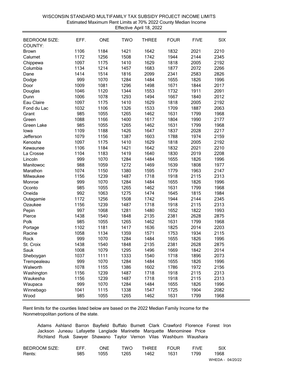|                                 |      |            |            | Effective April 18, 2022 |             |             |            |
|---------------------------------|------|------------|------------|--------------------------|-------------|-------------|------------|
| <b>BEDROOM SIZE:</b><br>COUNTY: | EFF. | <b>ONE</b> | <b>TWO</b> | <b>THREE</b>             | <b>FOUR</b> | <b>FIVE</b> | <b>SIX</b> |
| <b>Brown</b>                    | 1106 | 1184       | 1421       | 1642                     | 1832        | 2021        | 2210       |
| Calumet                         | 1172 | 1256       | 1508       | 1742                     | 1944        | 2144        | 2345       |
| Chippewa                        | 1097 | 1175       | 1410       | 1629                     | 1818        | 2005        | 2192       |
| Columbia                        | 1134 | 1214       | 1457       | 1683                     | 1877        | 2072        | 2266       |
| Dane                            | 1414 | 1514       | 1816       | 2099                     | 2341        | 2583        | 2826       |
| Dodge                           | 999  | 1070       | 1284       | 1484                     | 1655        | 1826        | 1996       |
| Door                            | 1009 | 1081       | 1296       | 1498                     | 1671        | 1844        | 2017       |
| Douglas                         | 1046 | 1120       | 1344       | 1553                     | 1732        | 1911        | 2091       |
| Dunn                            | 1006 | 1078       | 1293       | 1494                     | 1667        | 1840        | 2012       |
| Eau Claire                      | 1097 | 1175       | 1410       | 1629                     | 1818        | 2005        | 2192       |
| Fond du Lac                     | 1032 | 1106       | 1326       | 1533                     | 1709        | 1887        | 2063       |
| Grant                           | 985  | 1055       | 1265       | 1462                     | 1631        | 1799        | 1968       |
| Green                           | 1088 | 1166       | 1400       | 1617                     | 1804        | 1990        | 2177       |
| Green Lake                      | 985  | 1055       | 1265       | 1462                     | 1631        | 1799        | 1968       |
| lowa                            | 1109 | 1188       | 1426       | 1647                     | 1837        | 2028        | 2217       |
| Jefferson                       | 1079 | 1156       | 1387       | 1603                     | 1788        | 1974        | 2159       |
| Kenosha                         | 1097 | 1175       | 1410       | 1629                     | 1818        | 2005        | 2192       |
| Kewaunee                        | 1106 | 1184       | 1421       | 1642                     | 1832        | 2021        | 2210       |
| La Crosse                       | 1104 | 1183       | 1419       | 1640                     | 1830        | 2019        | 2208       |
| Lincoln                         | 999  | 1070       | 1284       | 1484                     | 1655        | 1826        | 1996       |
| Manitowoc                       | 988  | 1059       | 1272       | 1469                     | 1639        | 1808        | 1977       |
| Marathon                        | 1074 | 1150       | 1380       | 1595                     | 1779        | 1963        | 2147       |
| Milwaukee                       | 1156 | 1239       | 1487       | 1718                     | 1918        | 2115        | 2313       |
| Monroe                          | 999  | 1070       | 1284       | 1484                     | 1655        | 1826        | 1996       |
| Oconto                          | 985  | 1055       | 1265       | 1462                     | 1631        | 1799        | 1968       |
| Oneida                          | 992  | 1063       | 1275       | 1474                     | 1645        | 1815        | 1984       |
| Outagamie                       | 1172 | 1256       | 1508       | 1742                     | 1944        | 2144        | 2345       |
| Ozaukee                         | 1156 | 1239       | 1487       | 1718                     | 1918        | 2115        | 2313       |
| Pepin                           | 997  | 1068       | 1281       | 1480                     | 1652        | 1822        | 1993       |
| Pierce                          | 1438 | 1540       | 1848       | 2135                     | 2381        | 2628        | 2875       |
| Polk                            | 985  | 1055       | 1265       | 1462                     | 1631        | 1799        | 1968       |
| Portage                         | 1102 | 1181       | 1417       | 1636                     | 1825        | 2014        | 2203       |
| Racine                          | 1058 | 1134       | 1359       | 1571                     | 1753        | 1934        | 2115       |
| Rock                            | 999  | 1070       | 1284       | 1484                     | 1655        | 1826        | 1996       |
|                                 | 1438 | 1540       | 1848       | 2135                     | 2381        | 2628        | 2875       |
| St. Croix<br>Sauk               | 1008 | 1079       | 1295       | 1496                     | 1669        | 1842        | 2014       |
|                                 | 1037 | 1111       | 1333       | 1540                     | 1718        | 1896        | 2073       |
| Sheboygan                       | 999  | 1070       | 1284       |                          |             |             | 1996       |
| Trempealeau                     |      |            |            | 1484                     | 1655        | 1826        |            |
| Walworth                        | 1078 | 1155       | 1386       | 1602                     | 1786        | 1972        | 2156       |
| Washington                      | 1156 | 1239       | 1487       | 1718                     | 1918        | 2115        | 2313       |
| Waukesha                        | 1156 | 1239       | 1487       | 1718                     | 1918        | 2115        | 2313       |
| Waupaca                         | 999  | 1070       | 1284       | 1484                     | 1655        | 1826        | 1996       |
| Winnebago                       | 1041 | 1115       | 1338       | 1547                     | 1725        | 1904        | 2082       |
| Wood                            | 985  | 1055       | 1265       | 1462                     | 1631        | 1799        | 1968       |

## WISCONSIN STANDARD MULTIFAMILY TAX SUBSIDY PROJECT INCOME LIMITS Effective April 18, 2022 Estimated Maximum Rent Limits at 70% 2022 County Median Income

Rent limits for the counties listed below are based on the 2022 Median Family Income for the Nonmetropolitan portions of the state.

| <b>BEDROOM SIZE:</b> | FFF | <b>DNE</b> | TWO  | <b>THREE</b> | <b>FOUR</b> | <b>FIVF</b> |      |
|----------------------|-----|------------|------|--------------|-------------|-------------|------|
| Rents:               | 985 | 1055       | 1265 | 1462         | 1631        | 1799        | 1968 |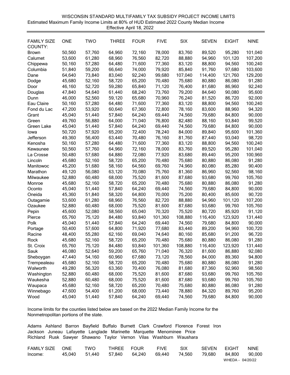| Estimated Maximum Family Income Limits at 80% of HUD Estimated 2022 County Median Income<br>Effective April 18, 2022 |                  |            |                  |             |                  |         |              |                  |             |  |  |
|----------------------------------------------------------------------------------------------------------------------|------------------|------------|------------------|-------------|------------------|---------|--------------|------------------|-------------|--|--|
| <b>FAMILY SIZE</b>                                                                                                   | <b>ONE</b>       | <b>TWO</b> | <b>THREE</b>     | <b>FOUR</b> | <b>FIVE</b>      | SIX     | <b>SEVEN</b> | <b>EIGHT</b>     | <b>NINE</b> |  |  |
| COUNTY:                                                                                                              |                  |            |                  |             |                  |         |              |                  |             |  |  |
| <b>Brown</b>                                                                                                         | 50,560           | 57,760     | 64,960           | 72,160      | 78,000           | 83,760  | 89,520       | 95,280           | 101,040     |  |  |
| Calumet                                                                                                              | 53,600           | 61,280     | 68,960           | 76,560      | 82,720           | 88,880  | 94,960       | 101,120          | 107,200     |  |  |
| Chippewa                                                                                                             | 50,160           | 57,280     | 64,480           | 71,600      | 77,360           | 83,120  | 88,800       | 94,560           | 100,240     |  |  |
| Columbia                                                                                                             | 51,840           | 59,200     | 66,640           | 74,000      | 79,920           | 85,840  | 91,760       | 97,680           | 103,600     |  |  |
| Dane                                                                                                                 | 64,640           | 73,840     | 83,040           | 92,240      | 99,680           | 107,040 | 114,400      | 121,760          | 129,200     |  |  |
| Dodge                                                                                                                | 45,680           | 52,160     | 58,720           | 65,200      | 70,480           | 75,680  | 80,880       | 86,080           | 91,280      |  |  |
| Door                                                                                                                 | 46,160           | 52,720     | 59,280           | 65,840      | 71,120           | 76,400  | 81,680       | 86,960           | 92,240      |  |  |
| Douglas                                                                                                              | 47,840           | 54,640     | 61,440           | 68,240      | 73,760           | 79,200  | 84,640       | 90,080           | 95,600      |  |  |
| Dunn                                                                                                                 | 46,000           | 52,560     | 59,120           | 65,680      | 70,960           | 76,240  | 81,520       | 86,720           | 92,000      |  |  |
| Eau Claire                                                                                                           | 50,160           | 57,280     | 64,480           | 71,600      | 77,360           | 83,120  | 88,800       | 94,560           | 100,240     |  |  |
| Fond du Lac                                                                                                          | 47,200           | 53,920     | 60,640           | 67,360      | 72,800           | 78,160  | 83,600       | 88,960           | 94,320      |  |  |
| Grant                                                                                                                | 45,040           | 51,440     | 57,840           | 64,240      | 69,440           | 74,560  | 79,680       | 84,800           | 90,000      |  |  |
| Green                                                                                                                | 49,760           | 56,880     | 64,000           | 71,040      | 76,800           | 82,480  | 88,160       | 93,840           | 99,520      |  |  |
|                                                                                                                      | 45,040           | 51,440     | 57,840           | 64,240      | 69,440           | 74,560  | 79,680       | 84,800           | 90,000      |  |  |
| Green Lake                                                                                                           | 50,720           | 57,920     | 65,200           | 72,400      | 78,240           | 84,000  | 89,840       | 95,600           | 101,360     |  |  |
| lowa<br>Jefferson                                                                                                    | 49,360           | 56,400     | 63,440           | 70,480      | 76,160           | 81,760  | 87,440       | 93,040           | 98,720      |  |  |
|                                                                                                                      |                  | 57,280     | 64,480           | 71,600      |                  | 83,120  |              |                  | 100,240     |  |  |
| Kenosha                                                                                                              | 50,160<br>50,560 | 57,760     | 64,960           | 72,160      | 77,360<br>78,000 | 83,760  | 88,800       | 94,560<br>95,280 | 101,040     |  |  |
| Kewaunee                                                                                                             |                  |            |                  |             |                  | 83,680  | 89,520       | 95,200           | 100,960     |  |  |
| La Crosse                                                                                                            | 50,480           | 57,680     | 64,880           | 72,080      | 77,920           |         | 89,440       |                  |             |  |  |
| Lincoln                                                                                                              | 45,680           | 52,160     | 58,720<br>58,160 | 65,200      | 70,480           | 75,680  | 80,880       | 86,080           | 91,280      |  |  |
| Manitowoc                                                                                                            | 45,200           | 51,680     |                  | 64,560      | 69,760           | 74,960  | 80,080       | 85,280           | 90,400      |  |  |
| Marathon                                                                                                             | 49,120           | 56,080     | 63,120           | 70,080      | 75,760           | 81,360  | 86,960       | 92,560           | 98,160      |  |  |
| Milwaukee                                                                                                            | 52,880           | 60,480     | 68,000           | 75,520      | 81,600           | 87,680  | 93,680       | 99,760           | 105,760     |  |  |
| Monroe                                                                                                               | 45,680           | 52,160     | 58,720           | 65,200      | 70,480           | 75,680  | 80,880       | 86,080           | 91,280      |  |  |
| Oconto                                                                                                               | 45,040           | 51,440     | 57,840           | 64,240      | 69,440           | 74,560  | 79,680       | 84,800           | 90,000      |  |  |
| Oneida                                                                                                               | 45,360           | 51,840     | 58,320           | 64,800      | 70,000           | 75,200  | 80,400       | 85,600           | 90,720      |  |  |
| Outagamie                                                                                                            | 53,600           | 61,280     | 68,960           | 76,560      | 82,720           | 88,880  | 94,960       | 101,120          | 107,200     |  |  |
| Ozaukee                                                                                                              | 52,880           | 60,480     | 68,000           | 75,520      | 81,600           | 87,680  | 93,680       | 99,760           | 105,760     |  |  |
| Pepin                                                                                                                | 45,600           | 52,080     | 58,560           | 65,040      | 70,320           | 75,520  | 80,720       | 85,920           | 91,120      |  |  |
| Pierce                                                                                                               | 65,760           | 75,120     | 84,480           | 93,840      | 101,360          | 108,880 | 116,400      | 123,920          | 131,440     |  |  |
| Polk                                                                                                                 | 45,040           | 51,440     | 57,840           | 64,240      | 69,440           | 74,560  | 79,680       | 84,800           | 90,000      |  |  |
| Portage                                                                                                              | 50,400           | 57,600     | 64,800           | 71,920      | 77,680           | 83,440  | 89,200       | 94,960           | 100,720     |  |  |
| Racine                                                                                                               | 48,400           | 55,280     | 62,160           | 69,040      | 74,640           | 80,160  | 85,680       | 91,200           | 96,720      |  |  |
| Rock                                                                                                                 | 45,680           | 52,160     | 58,720           | 65,200      | 70,480           | 75,680  | 80,880       | 86,080           | 91,280      |  |  |
| St. Croix                                                                                                            | 65,760           | 75,120     | 84,480           | 93,840      | 101,360          | 108,880 | 116,400      | 123,920          | 131,440     |  |  |
| Sauk                                                                                                                 | 46,080           | 52,640     | 59,200           | 65,760      | 71,040           | 76,320  | 81,600       | 86,880           | 92,080      |  |  |
| Sheboygan                                                                                                            | 47,440           | 54,160     | 60,960           | 67,680      | 73,120           | 78,560  | 84,000       | 89,360           | 94,800      |  |  |
| Trempealeau                                                                                                          | 45,680           | 52,160     | 58,720           | 65,200      | 70,480           | 75,680  | 80,880       | 86,080           | 91,280      |  |  |
| Walworth                                                                                                             | 49,280           | 56,320     | 63,360           | 70,400      | 76,080           | 81,680  | 87,360       | 92,960           | 98,560      |  |  |
| Washington                                                                                                           | 52,880           | 60,480     | 68,000           | 75,520      | 81,600           | 87,680  | 93,680       | 99,760           | 105,760     |  |  |
| Waukesha                                                                                                             | 52,880           | 60,480     | 68,000           | 75,520      | 81,600           | 87,680  | 93,680       | 99,760           | 105,760     |  |  |
| Waupaca                                                                                                              | 45,680           | 52,160     | 58,720           | 65,200      | 70,480           | 75,680  | 80,880       | 86,080           | 91,280      |  |  |
| Winnebago                                                                                                            | 47,600           | 54,400     | 61,200           | 68,000      | 73,440           | 78,880  | 84,320       | 89,760           | 95,200      |  |  |
| Wood                                                                                                                 | 45,040           | 51,440     | 57,840           | 64,240      | 69,440           | 74,560  | 79,680       | 84,800           | 90,000      |  |  |

WISCONSIN STANDARD MULTIFAMILY TAX SUBSIDY PROJECT INCOME LIMITS

Income limits for the counties listed below are based on the 2022 Median Family Income for the Nonmetropolitan portions of the state.

| Income: | 45.040 | 51.440 | 57.840 | 64.240 | 69.440 | 74.560 | 79.680 | 84.800           | 90.000 |
|---------|--------|--------|--------|--------|--------|--------|--------|------------------|--------|
|         |        |        |        |        |        |        |        | WHEDA - 04/20/22 |        |